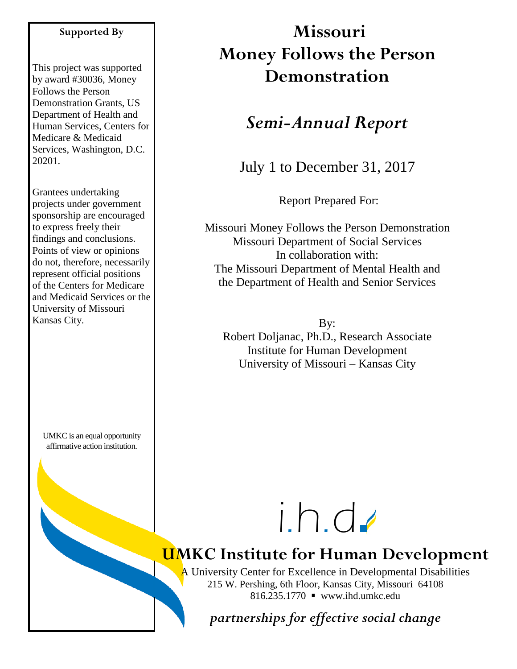#### **Supported By**

This project was supported by award #30036, Money Follows the Person Demonstration Grants, US Department of Health and Human Services, Centers for Medicare & Medicaid Services, Washington, D.C. 20201.

Grantees undertaking projects under government sponsorship are encouraged to express freely their findings and conclusions. Points of view or opinions do not, therefore, necessarily represent official positions of the Centers for Medicare and Medicaid Services or the University of Missouri Kansas City.

UMKC is an equal opportunity affirmative action institution.

# **Missouri Money Follows the Person Demonstration**

## *Semi-Annual Report*

July 1 to December 31, 2017

Report Prepared For:

Missouri Money Follows the Person Demonstration Missouri Department of Social Services In collaboration with: The Missouri Department of Mental Health and the Department of Health and Senior Services

By: Robert Doljanac, Ph.D., Research Associate Institute for Human Development University of Missouri – Kansas City

i.h.d

# **UMKC Institute for Human Development**

A University Center for Excellence in Developmental Disabilities 215 W. Pershing, 6th Floor, Kansas City, Missouri 64108 816.235.1770 www.ihd.umkc.edu

*partnerships for effective social change*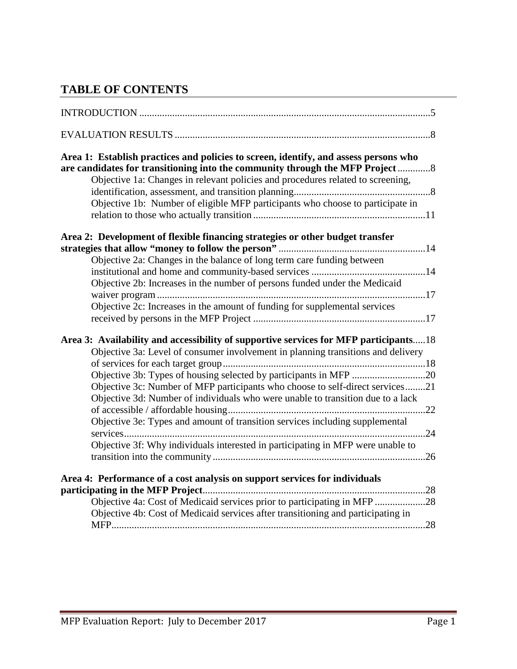## **TABLE OF CONTENTS**

| Area 1: Establish practices and policies to screen, identify, and assess persons who<br>are candidates for transitioning into the community through the MFP Project<br>Objective 1a: Changes in relevant policies and procedures related to screening, |
|--------------------------------------------------------------------------------------------------------------------------------------------------------------------------------------------------------------------------------------------------------|
|                                                                                                                                                                                                                                                        |
| Objective 1b: Number of eligible MFP participants who choose to participate in                                                                                                                                                                         |
| Area 2: Development of flexible financing strategies or other budget transfer                                                                                                                                                                          |
|                                                                                                                                                                                                                                                        |
| Objective 2a: Changes in the balance of long term care funding between                                                                                                                                                                                 |
| Objective 2b: Increases in the number of persons funded under the Medicaid                                                                                                                                                                             |
|                                                                                                                                                                                                                                                        |
| Objective 2c: Increases in the amount of funding for supplemental services                                                                                                                                                                             |
|                                                                                                                                                                                                                                                        |
| Area 3: Availability and accessibility of supportive services for MFP participants18                                                                                                                                                                   |
| Objective 3a: Level of consumer involvement in planning transitions and delivery                                                                                                                                                                       |
|                                                                                                                                                                                                                                                        |
| Objective 3b: Types of housing selected by participants in MFP 20                                                                                                                                                                                      |
| Objective 3c: Number of MFP participants who choose to self-direct services21                                                                                                                                                                          |
| Objective 3d: Number of individuals who were unable to transition due to a lack                                                                                                                                                                        |
| Objective 3e: Types and amount of transition services including supplemental                                                                                                                                                                           |
|                                                                                                                                                                                                                                                        |
| Objective 3f: Why individuals interested in participating in MFP were unable to                                                                                                                                                                        |
|                                                                                                                                                                                                                                                        |
| Area 4: Performance of a cost analysis on support services for individuals                                                                                                                                                                             |
| Objective 4a: Cost of Medicaid services prior to participating in MFP 28                                                                                                                                                                               |
| Objective 4b: Cost of Medicaid services after transitioning and participating in                                                                                                                                                                       |
|                                                                                                                                                                                                                                                        |
|                                                                                                                                                                                                                                                        |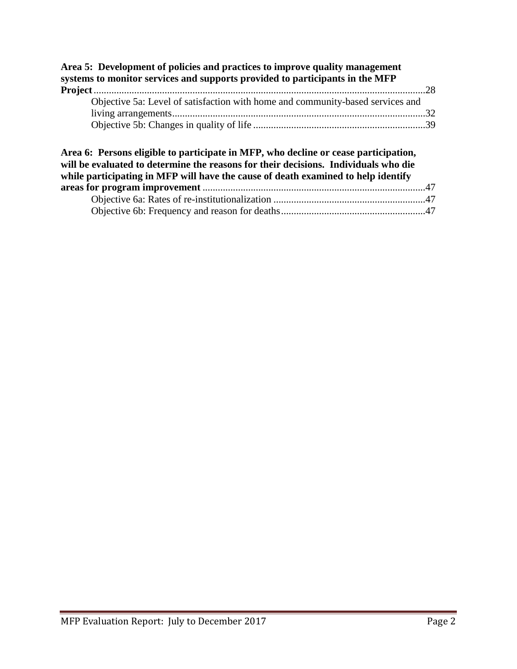| systems to monitor services and supports provided to participants in the MFP                                                                                               |                |
|----------------------------------------------------------------------------------------------------------------------------------------------------------------------------|----------------|
| Objective 5a: Level of satisfaction with home and community-based services and                                                                                             |                |
|                                                                                                                                                                            |                |
|                                                                                                                                                                            |                |
| Area 6: Persons eligible to participate in MFP, who decline or cease participation,<br>will be evaluated to determine the reasons for their decisions. Individuals who die |                |
| while participating in MFP will have the cause of death examined to help identify                                                                                          | $\overline{ }$ |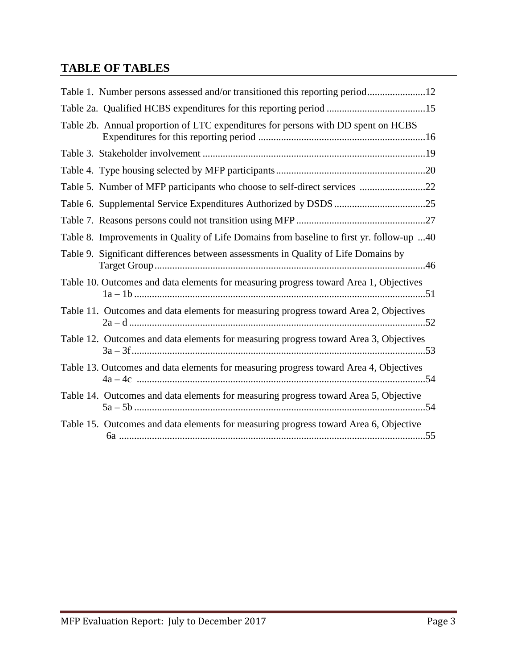## **TABLE OF TABLES**

| Table 1. Number persons assessed and/or transitioned this reporting period12             |
|------------------------------------------------------------------------------------------|
|                                                                                          |
| Table 2b. Annual proportion of LTC expenditures for persons with DD spent on HCBS        |
|                                                                                          |
|                                                                                          |
| Table 5. Number of MFP participants who choose to self-direct services 22                |
|                                                                                          |
|                                                                                          |
| Table 8. Improvements in Quality of Life Domains from baseline to first yr. follow-up 40 |
| Table 9. Significant differences between assessments in Quality of Life Domains by       |
| Table 10. Outcomes and data elements for measuring progress toward Area 1, Objectives    |
| Table 11. Outcomes and data elements for measuring progress toward Area 2, Objectives    |
| Table 12. Outcomes and data elements for measuring progress toward Area 3, Objectives    |
| Table 13. Outcomes and data elements for measuring progress toward Area 4, Objectives    |
| Table 14. Outcomes and data elements for measuring progress toward Area 5, Objective     |
| Table 15. Outcomes and data elements for measuring progress toward Area 6, Objective     |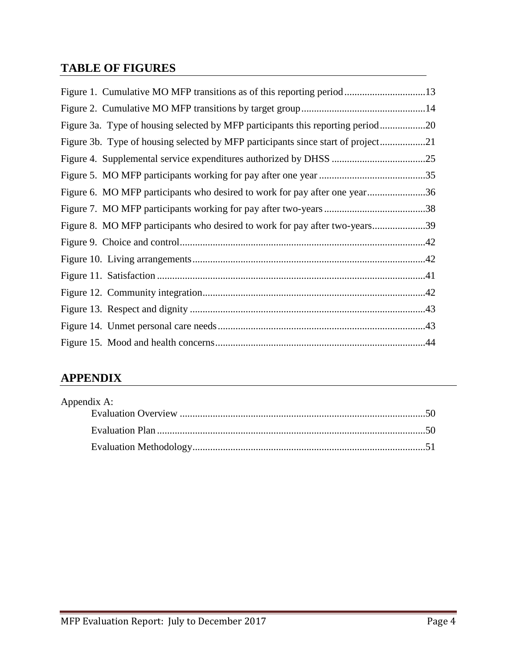## **TABLE OF FIGURES**

| Figure 1. Cumulative MO MFP transitions as of this reporting period13           |  |
|---------------------------------------------------------------------------------|--|
|                                                                                 |  |
| Figure 3a. Type of housing selected by MFP participants this reporting period20 |  |
| Figure 3b. Type of housing selected by MFP participants since start of project  |  |
|                                                                                 |  |
|                                                                                 |  |
| Figure 6. MO MFP participants who desired to work for pay after one year36      |  |
|                                                                                 |  |
| Figure 8. MO MFP participants who desired to work for pay after two-years39     |  |
|                                                                                 |  |
|                                                                                 |  |
|                                                                                 |  |
|                                                                                 |  |
|                                                                                 |  |
|                                                                                 |  |
|                                                                                 |  |

## **APPENDIX**

| Appendix A: |  |
|-------------|--|
|             |  |
|             |  |
|             |  |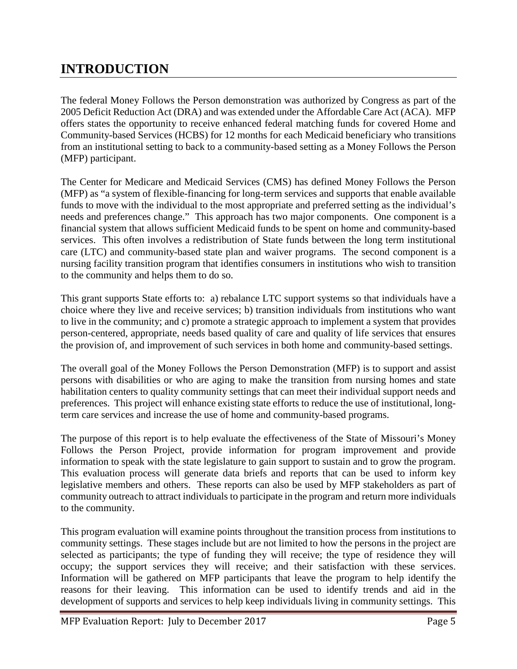## **INTRODUCTION**

The federal Money Follows the Person demonstration was authorized by Congress as part of the 2005 Deficit Reduction Act (DRA) and was extended under the Affordable Care Act (ACA). MFP offers states the opportunity to receive enhanced federal matching funds for covered Home and Community-based Services (HCBS) for 12 months for each Medicaid beneficiary who transitions from an institutional setting to back to a community-based setting as a Money Follows the Person (MFP) participant.

The Center for Medicare and Medicaid Services (CMS) has defined Money Follows the Person (MFP) as "a system of flexible-financing for long-term services and supports that enable available funds to move with the individual to the most appropriate and preferred setting as the individual's needs and preferences change." This approach has two major components. One component is a financial system that allows sufficient Medicaid funds to be spent on home and community-based services. This often involves a redistribution of State funds between the long term institutional care (LTC) and community-based state plan and waiver programs. The second component is a nursing facility transition program that identifies consumers in institutions who wish to transition to the community and helps them to do so.

This grant supports State efforts to: a) rebalance LTC support systems so that individuals have a choice where they live and receive services; b) transition individuals from institutions who want to live in the community; and c) promote a strategic approach to implement a system that provides person-centered, appropriate, needs based quality of care and quality of life services that ensures the provision of, and improvement of such services in both home and community-based settings.

The overall goal of the Money Follows the Person Demonstration (MFP) is to support and assist persons with disabilities or who are aging to make the transition from nursing homes and state habilitation centers to quality community settings that can meet their individual support needs and preferences. This project will enhance existing state efforts to reduce the use of institutional, longterm care services and increase the use of home and community-based programs.

The purpose of this report is to help evaluate the effectiveness of the State of Missouri's Money Follows the Person Project, provide information for program improvement and provide information to speak with the state legislature to gain support to sustain and to grow the program. This evaluation process will generate data briefs and reports that can be used to inform key legislative members and others. These reports can also be used by MFP stakeholders as part of community outreach to attract individuals to participate in the program and return more individuals to the community.

This program evaluation will examine points throughout the transition process from institutions to community settings. These stages include but are not limited to how the persons in the project are selected as participants; the type of funding they will receive; the type of residence they will occupy; the support services they will receive; and their satisfaction with these services. Information will be gathered on MFP participants that leave the program to help identify the reasons for their leaving. This information can be used to identify trends and aid in the development of supports and services to help keep individuals living in community settings. This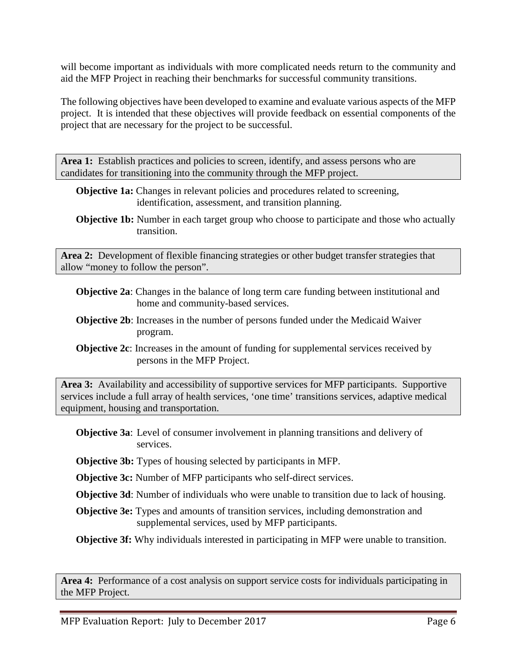will become important as individuals with more complicated needs return to the community and aid the MFP Project in reaching their benchmarks for successful community transitions.

The following objectives have been developed to examine and evaluate various aspects of the MFP project. It is intended that these objectives will provide feedback on essential components of the project that are necessary for the project to be successful.

Area 1: Establish practices and policies to screen, identify, and assess persons who are candidates for transitioning into the community through the MFP project.

- **Objective 1a:** Changes in relevant policies and procedures related to screening, identification, assessment, and transition planning.
- **Objective 1b:** Number in each target group who choose to participate and those who actually transition.

**Area 2:** Development of flexible financing strategies or other budget transfer strategies that allow "money to follow the person".

- **Objective 2a**: Changes in the balance of long term care funding between institutional and home and community-based services.
- **Objective 2b**: Increases in the number of persons funded under the Medicaid Waiver program.
- **Objective 2c**: Increases in the amount of funding for supplemental services received by persons in the MFP Project.

**Area 3:** Availability and accessibility of supportive services for MFP participants. Supportive services include a full array of health services, 'one time' transitions services, adaptive medical equipment, housing and transportation.

- **Objective 3a**: Level of consumer involvement in planning transitions and delivery of services.
- **Objective 3b:** Types of housing selected by participants in MFP.

**Objective 3c:** Number of MFP participants who self-direct services.

- **Objective 3d**: Number of individuals who were unable to transition due to lack of housing.
- **Objective 3e:** Types and amounts of transition services, including demonstration and supplemental services, used by MFP participants.

**Objective 3f:** Why individuals interested in participating in MFP were unable to transition.

**Area 4:** Performance of a cost analysis on support service costs for individuals participating in the MFP Project.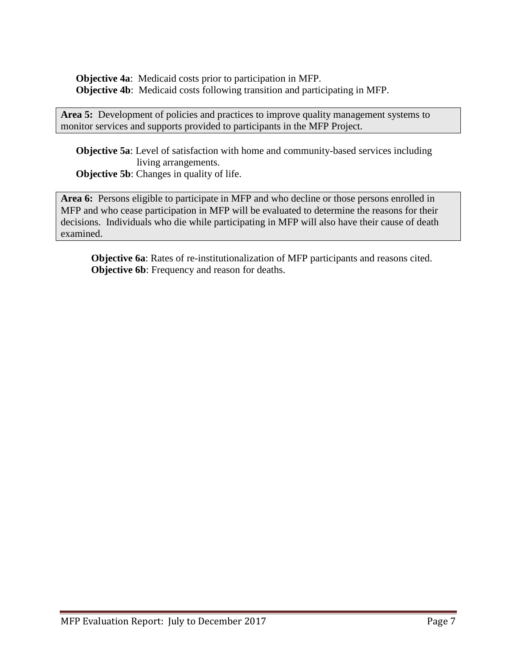**Objective 4a**: Medicaid costs prior to participation in MFP. **Objective 4b**: Medicaid costs following transition and participating in MFP.

Area 5: Development of policies and practices to improve quality management systems to monitor services and supports provided to participants in the MFP Project.

**Objective 5a**: Level of satisfaction with home and community-based services including living arrangements. **Objective 5b:** Changes in quality of life.

**Area 6:** Persons eligible to participate in MFP and who decline or those persons enrolled in MFP and who cease participation in MFP will be evaluated to determine the reasons for their decisions. Individuals who die while participating in MFP will also have their cause of death examined.

**Objective 6a**: Rates of re-institutionalization of MFP participants and reasons cited. **Objective 6b**: Frequency and reason for deaths.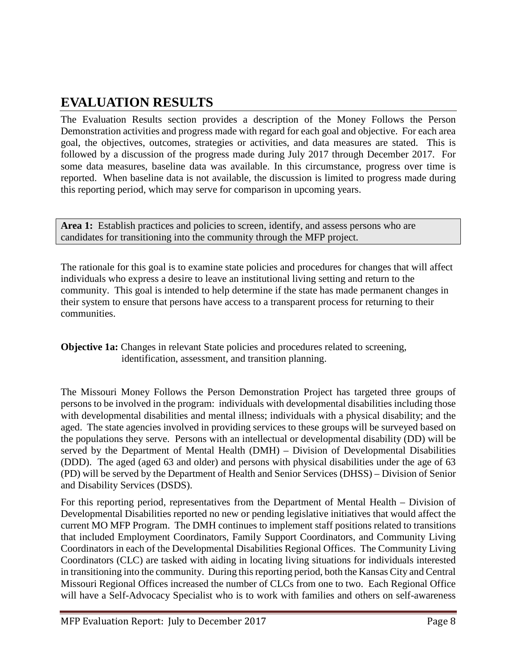## **EVALUATION RESULTS**

The Evaluation Results section provides a description of the Money Follows the Person Demonstration activities and progress made with regard for each goal and objective. For each area goal, the objectives, outcomes, strategies or activities, and data measures are stated. This is followed by a discussion of the progress made during July 2017 through December 2017. For some data measures, baseline data was available. In this circumstance, progress over time is reported. When baseline data is not available, the discussion is limited to progress made during this reporting period, which may serve for comparison in upcoming years.

Area 1: Establish practices and policies to screen, identify, and assess persons who are candidates for transitioning into the community through the MFP project.

The rationale for this goal is to examine state policies and procedures for changes that will affect individuals who express a desire to leave an institutional living setting and return to the community. This goal is intended to help determine if the state has made permanent changes in their system to ensure that persons have access to a transparent process for returning to their communities.

**Objective 1a:** Changes in relevant State policies and procedures related to screening, identification, assessment, and transition planning.

The Missouri Money Follows the Person Demonstration Project has targeted three groups of persons to be involved in the program: individuals with developmental disabilities including those with developmental disabilities and mental illness; individuals with a physical disability; and the aged. The state agencies involved in providing services to these groups will be surveyed based on the populations they serve. Persons with an intellectual or developmental disability (DD) will be served by the Department of Mental Health (DMH) – Division of Developmental Disabilities (DDD). The aged (aged 63 and older) and persons with physical disabilities under the age of 63 (PD) will be served by the Department of Health and Senior Services (DHSS) – Division of Senior and Disability Services (DSDS).

For this reporting period, representatives from the Department of Mental Health – Division of Developmental Disabilities reported no new or pending legislative initiatives that would affect the current MO MFP Program. The DMH continues to implement staff positions related to transitions that included Employment Coordinators, Family Support Coordinators, and Community Living Coordinators in each of the Developmental Disabilities Regional Offices. The Community Living Coordinators (CLC) are tasked with aiding in locating living situations for individuals interested in transitioning into the community. During this reporting period, both the Kansas City and Central Missouri Regional Offices increased the number of CLCs from one to two. Each Regional Office will have a Self-Advocacy Specialist who is to work with families and others on self-awareness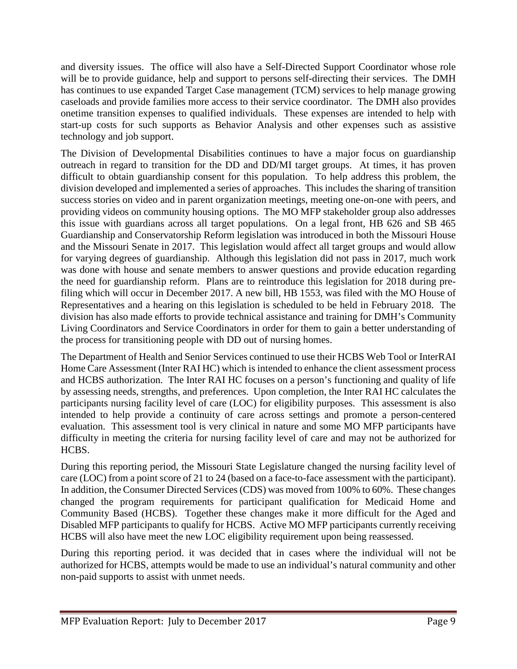and diversity issues. The office will also have a Self-Directed Support Coordinator whose role will be to provide guidance, help and support to persons self-directing their services. The DMH has continues to use expanded Target Case management (TCM) services to help manage growing caseloads and provide families more access to their service coordinator. The DMH also provides onetime transition expenses to qualified individuals. These expenses are intended to help with start-up costs for such supports as Behavior Analysis and other expenses such as assistive technology and job support.

The Division of Developmental Disabilities continues to have a major focus on guardianship outreach in regard to transition for the DD and DD/MI target groups. At times, it has proven difficult to obtain guardianship consent for this population. To help address this problem, the division developed and implemented a series of approaches. This includes the sharing of transition success stories on video and in parent organization meetings, meeting one-on-one with peers, and providing videos on community housing options. The MO MFP stakeholder group also addresses this issue with guardians across all target populations. On a legal front, HB 626 and SB 465 Guardianship and Conservatorship Reform legislation was introduced in both the Missouri House and the Missouri Senate in 2017. This legislation would affect all target groups and would allow for varying degrees of guardianship. Although this legislation did not pass in 2017, much work was done with house and senate members to answer questions and provide education regarding the need for guardianship reform. Plans are to reintroduce this legislation for 2018 during prefiling which will occur in December 2017. A new bill, HB 1553, was filed with the MO House of Representatives and a hearing on this legislation is scheduled to be held in February 2018. The division has also made efforts to provide technical assistance and training for DMH's Community Living Coordinators and Service Coordinators in order for them to gain a better understanding of the process for transitioning people with DD out of nursing homes.

The Department of Health and Senior Services continued to use their HCBS Web Tool or InterRAI Home Care Assessment (Inter RAI HC) which is intended to enhance the client assessment process and HCBS authorization. The Inter RAI HC focuses on a person's functioning and quality of life by assessing needs, strengths, and preferences. Upon completion, the Inter RAI HC calculates the participants nursing facility level of care (LOC) for eligibility purposes. This assessment is also intended to help provide a continuity of care across settings and promote a person-centered evaluation. This assessment tool is very clinical in nature and some MO MFP participants have difficulty in meeting the criteria for nursing facility level of care and may not be authorized for HCBS.

During this reporting period, the Missouri State Legislature changed the nursing facility level of care (LOC) from a point score of 21 to 24 (based on a face-to-face assessment with the participant). In addition, the Consumer Directed Services (CDS) was moved from 100% to 60%. These changes changed the program requirements for participant qualification for Medicaid Home and Community Based (HCBS). Together these changes make it more difficult for the Aged and Disabled MFP participants to qualify for HCBS. Active MO MFP participants currently receiving HCBS will also have meet the new LOC eligibility requirement upon being reassessed.

During this reporting period. it was decided that in cases where the individual will not be authorized for HCBS, attempts would be made to use an individual's natural community and other non-paid supports to assist with unmet needs.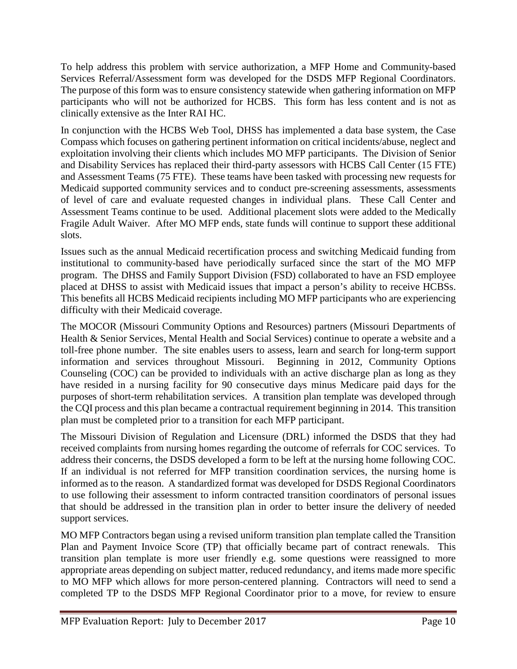To help address this problem with service authorization, a MFP Home and Community-based Services Referral/Assessment form was developed for the DSDS MFP Regional Coordinators. The purpose of this form was to ensure consistency statewide when gathering information on MFP participants who will not be authorized for HCBS. This form has less content and is not as clinically extensive as the Inter RAI HC.

In conjunction with the HCBS Web Tool, DHSS has implemented a data base system, the Case Compass which focuses on gathering pertinent information on critical incidents/abuse, neglect and exploitation involving their clients which includes MO MFP participants. The Division of Senior and Disability Services has replaced their third-party assessors with HCBS Call Center (15 FTE) and Assessment Teams (75 FTE). These teams have been tasked with processing new requests for Medicaid supported community services and to conduct pre-screening assessments, assessments of level of care and evaluate requested changes in individual plans. These Call Center and Assessment Teams continue to be used. Additional placement slots were added to the Medically Fragile Adult Waiver. After MO MFP ends, state funds will continue to support these additional slots.

Issues such as the annual Medicaid recertification process and switching Medicaid funding from institutional to community-based have periodically surfaced since the start of the MO MFP program. The DHSS and Family Support Division (FSD) collaborated to have an FSD employee placed at DHSS to assist with Medicaid issues that impact a person's ability to receive HCBSs. This benefits all HCBS Medicaid recipients including MO MFP participants who are experiencing difficulty with their Medicaid coverage.

The MOCOR (Missouri Community Options and Resources) partners (Missouri Departments of Health & Senior Services, Mental Health and Social Services) continue to operate a website and a toll-free phone number. The site enables users to assess, learn and search for long-term support information and services throughout Missouri. Beginning in 2012, Community Options Counseling (COC) can be provided to individuals with an active discharge plan as long as they have resided in a nursing facility for 90 consecutive days minus Medicare paid days for the purposes of short-term rehabilitation services. A transition plan template was developed through the CQI process and this plan became a contractual requirement beginning in 2014. This transition plan must be completed prior to a transition for each MFP participant.

The Missouri Division of Regulation and Licensure (DRL) informed the DSDS that they had received complaints from nursing homes regarding the outcome of referrals for COC services. To address their concerns, the DSDS developed a form to be left at the nursing home following COC. If an individual is not referred for MFP transition coordination services, the nursing home is informed as to the reason. A standardized format was developed for DSDS Regional Coordinators to use following their assessment to inform contracted transition coordinators of personal issues that should be addressed in the transition plan in order to better insure the delivery of needed support services.

MO MFP Contractors began using a revised uniform transition plan template called the Transition Plan and Payment Invoice Score (TP) that officially became part of contract renewals. This transition plan template is more user friendly e.g. some questions were reassigned to more appropriate areas depending on subject matter, reduced redundancy, and items made more specific to MO MFP which allows for more person-centered planning. Contractors will need to send a completed TP to the DSDS MFP Regional Coordinator prior to a move, for review to ensure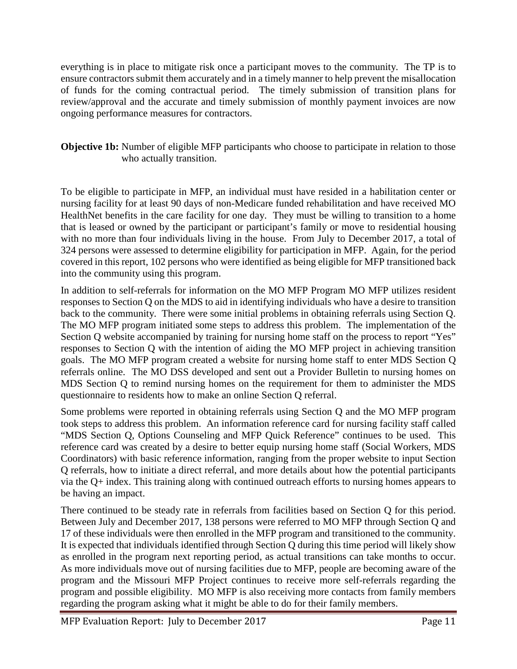everything is in place to mitigate risk once a participant moves to the community. The TP is to ensure contractors submit them accurately and in a timely manner to help prevent the misallocation of funds for the coming contractual period. The timely submission of transition plans for review/approval and the accurate and timely submission of monthly payment invoices are now ongoing performance measures for contractors.

#### **Objective 1b:** Number of eligible MFP participants who choose to participate in relation to those who actually transition.

To be eligible to participate in MFP, an individual must have resided in a habilitation center or nursing facility for at least 90 days of non-Medicare funded rehabilitation and have received MO HealthNet benefits in the care facility for one day. They must be willing to transition to a home that is leased or owned by the participant or participant's family or move to residential housing with no more than four individuals living in the house. From July to December 2017, a total of 324 persons were assessed to determine eligibility for participation in MFP. Again, for the period covered in this report, 102 persons who were identified as being eligible for MFP transitioned back into the community using this program.

In addition to self-referrals for information on the MO MFP Program MO MFP utilizes resident responses to Section Q on the MDS to aid in identifying individuals who have a desire to transition back to the community. There were some initial problems in obtaining referrals using Section Q. The MO MFP program initiated some steps to address this problem. The implementation of the Section Q website accompanied by training for nursing home staff on the process to report "Yes" responses to Section Q with the intention of aiding the MO MFP project in achieving transition goals. The MO MFP program created a website for nursing home staff to enter MDS Section Q referrals online. The MO DSS developed and sent out a Provider Bulletin to nursing homes on MDS Section Q to remind nursing homes on the requirement for them to administer the MDS questionnaire to residents how to make an online Section Q referral.

Some problems were reported in obtaining referrals using Section Q and the MO MFP program took steps to address this problem. An information reference card for nursing facility staff called "MDS Section Q, Options Counseling and MFP Quick Reference" continues to be used. This reference card was created by a desire to better equip nursing home staff (Social Workers, MDS Coordinators) with basic reference information, ranging from the proper website to input Section Q referrals, how to initiate a direct referral, and more details about how the potential participants via the Q+ index. This training along with continued outreach efforts to nursing homes appears to be having an impact.

There continued to be steady rate in referrals from facilities based on Section Q for this period. Between July and December 2017, 138 persons were referred to MO MFP through Section Q and 17 of these individuals were then enrolled in the MFP program and transitioned to the community. It is expected that individuals identified through Section Q during this time period will likely show as enrolled in the program next reporting period, as actual transitions can take months to occur. As more individuals move out of nursing facilities due to MFP, people are becoming aware of the program and the Missouri MFP Project continues to receive more self-referrals regarding the program and possible eligibility. MO MFP is also receiving more contacts from family members regarding the program asking what it might be able to do for their family members.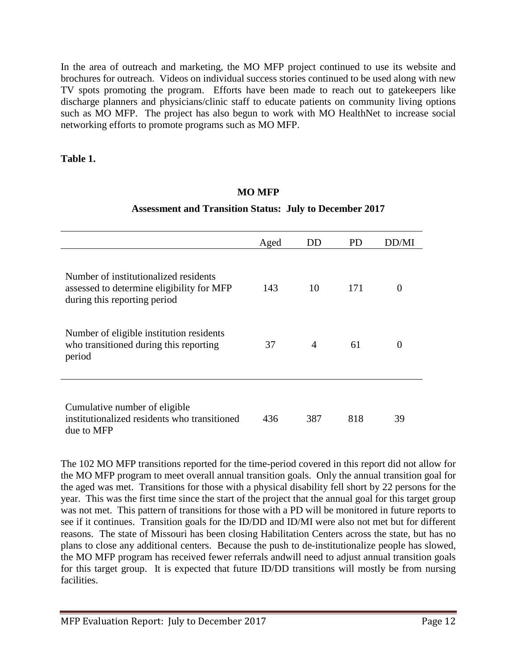In the area of outreach and marketing, the MO MFP project continued to use its website and brochures for outreach. Videos on individual success stories continued to be used along with new TV spots promoting the program. Efforts have been made to reach out to gatekeepers like discharge planners and physicians/clinic staff to educate patients on community living options such as MO MFP. The project has also begun to work with MO HealthNet to increase social networking efforts to promote programs such as MO MFP.

#### **Table 1.**

#### **MO MFP**

#### **Assessment and Transition Status: July to December 2017**

|                                                                                                                    | Aged | DD             | PD  | 1)D/MI   |
|--------------------------------------------------------------------------------------------------------------------|------|----------------|-----|----------|
| Number of institutionalized residents<br>assessed to determine eligibility for MFP<br>during this reporting period | 143  | 10             | 171 | $\Omega$ |
| Number of eligible institution residents<br>who transitioned during this reporting<br>period                       | 37   | $\overline{A}$ | 61  | $\Omega$ |
| Cumulative number of eligible<br>institutionalized residents who transitioned<br>due to MFP                        | 436  | 387            | 818 | 39       |

The 102 MO MFP transitions reported for the time-period covered in this report did not allow for the MO MFP program to meet overall annual transition goals. Only the annual transition goal for the aged was met. Transitions for those with a physical disability fell short by 22 persons for the year. This was the first time since the start of the project that the annual goal for this target group was not met. This pattern of transitions for those with a PD will be monitored in future reports to see if it continues. Transition goals for the ID/DD and ID/MI were also not met but for different reasons. The state of Missouri has been closing Habilitation Centers across the state, but has no plans to close any additional centers. Because the push to de-institutionalize people has slowed, the MO MFP program has received fewer referrals andwill need to adjust annual transition goals for this target group. It is expected that future ID/DD transitions will mostly be from nursing facilities.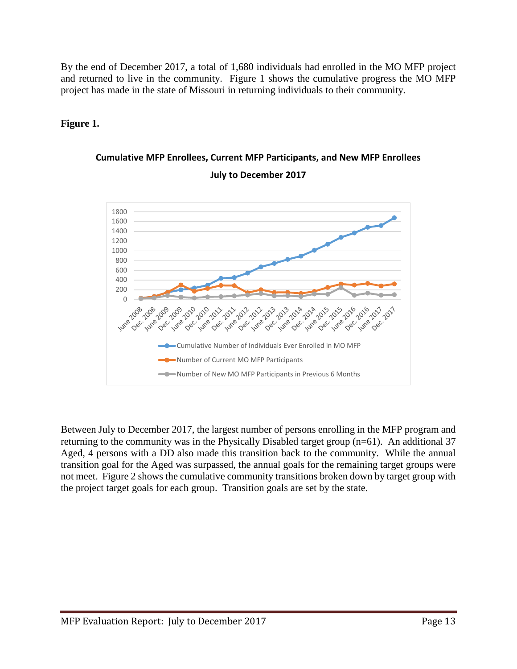By the end of December 2017, a total of 1,680 individuals had enrolled in the MO MFP project and returned to live in the community. Figure 1 shows the cumulative progress the MO MFP project has made in the state of Missouri in returning individuals to their community.

#### **Figure 1.**





Between July to December 2017, the largest number of persons enrolling in the MFP program and returning to the community was in the Physically Disabled target group (n=61). An additional 37 Aged, 4 persons with a DD also made this transition back to the community. While the annual transition goal for the Aged was surpassed, the annual goals for the remaining target groups were not meet. Figure 2 shows the cumulative community transitions broken down by target group with the project target goals for each group. Transition goals are set by the state.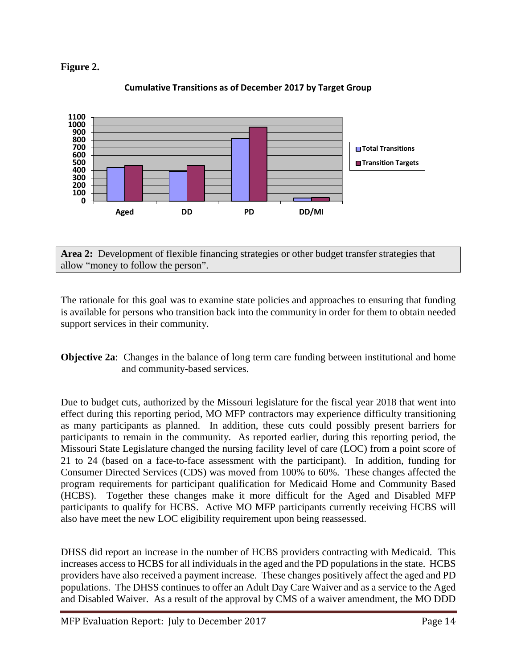



#### **Cumulative Transitions as of December 2017 by Target Group**

**Area 2:** Development of flexible financing strategies or other budget transfer strategies that allow "money to follow the person".

The rationale for this goal was to examine state policies and approaches to ensuring that funding is available for persons who transition back into the community in order for them to obtain needed support services in their community.

**Objective 2a:** Changes in the balance of long term care funding between institutional and home and community-based services.

Due to budget cuts, authorized by the Missouri legislature for the fiscal year 2018 that went into effect during this reporting period, MO MFP contractors may experience difficulty transitioning as many participants as planned. In addition, these cuts could possibly present barriers for participants to remain in the community. As reported earlier, during this reporting period, the Missouri State Legislature changed the nursing facility level of care (LOC) from a point score of 21 to 24 (based on a face-to-face assessment with the participant). In addition, funding for Consumer Directed Services (CDS) was moved from 100% to 60%. These changes affected the program requirements for participant qualification for Medicaid Home and Community Based (HCBS). Together these changes make it more difficult for the Aged and Disabled MFP participants to qualify for HCBS. Active MO MFP participants currently receiving HCBS will also have meet the new LOC eligibility requirement upon being reassessed.

DHSS did report an increase in the number of HCBS providers contracting with Medicaid. This increases access to HCBS for all individuals in the aged and the PD populations in the state. HCBS providers have also received a payment increase. These changes positively affect the aged and PD populations. The DHSS continues to offer an Adult Day Care Waiver and as a service to the Aged and Disabled Waiver. As a result of the approval by CMS of a waiver amendment, the MO DDD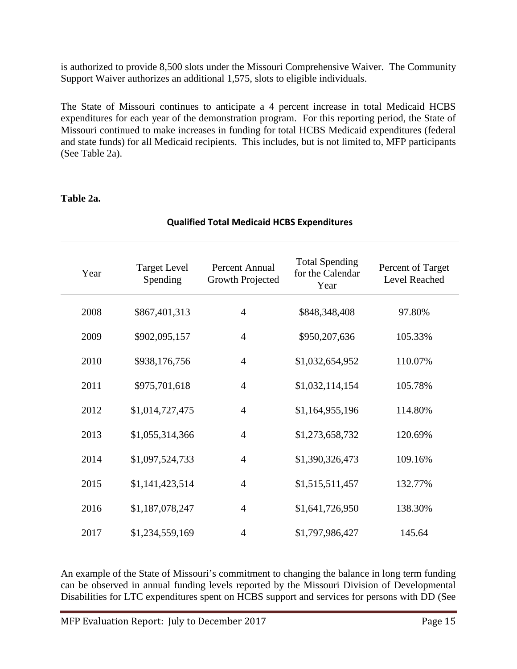is authorized to provide 8,500 slots under the Missouri Comprehensive Waiver. The Community Support Waiver authorizes an additional 1,575, slots to eligible individuals.

The State of Missouri continues to anticipate a 4 percent increase in total Medicaid HCBS expenditures for each year of the demonstration program. For this reporting period, the State of Missouri continued to make increases in funding for total HCBS Medicaid expenditures (federal and state funds) for all Medicaid recipients. This includes, but is not limited to, MFP participants (See Table 2a).

**Qualified Total Medicaid HCBS Expenditures**

| Year | <b>Target Level</b><br>Spending | Percent Annual<br><b>Growth Projected</b> | <b>Total Spending</b><br>for the Calendar<br>Year | Percent of Target<br>Level Reached |
|------|---------------------------------|-------------------------------------------|---------------------------------------------------|------------------------------------|
| 2008 | \$867,401,313                   | $\overline{4}$                            | \$848,348,408                                     | 97.80%                             |
| 2009 | \$902,095,157                   | $\overline{4}$                            | \$950,207,636                                     | 105.33%                            |
| 2010 | \$938,176,756                   | $\overline{4}$                            | \$1,032,654,952                                   | 110.07%                            |
| 2011 | \$975,701,618                   | $\overline{4}$                            | \$1,032,114,154                                   | 105.78%                            |
| 2012 | \$1,014,727,475                 | $\overline{4}$                            | \$1,164,955,196                                   | 114.80%                            |
| 2013 | \$1,055,314,366                 | $\overline{4}$                            | \$1,273,658,732                                   | 120.69%                            |
| 2014 | \$1,097,524,733                 | $\overline{4}$                            | \$1,390,326,473                                   | 109.16%                            |
| 2015 | \$1,141,423,514                 | $\overline{4}$                            | \$1,515,511,457                                   | 132.77%                            |
| 2016 | \$1,187,078,247                 | $\overline{4}$                            | \$1,641,726,950                                   | 138.30%                            |
| 2017 | \$1,234,559,169                 | $\overline{4}$                            | \$1,797,986,427                                   | 145.64                             |

#### **Table 2a.**

An example of the State of Missouri's commitment to changing the balance in long term funding can be observed in annual funding levels reported by the Missouri Division of Developmental Disabilities for LTC expenditures spent on HCBS support and services for persons with DD (See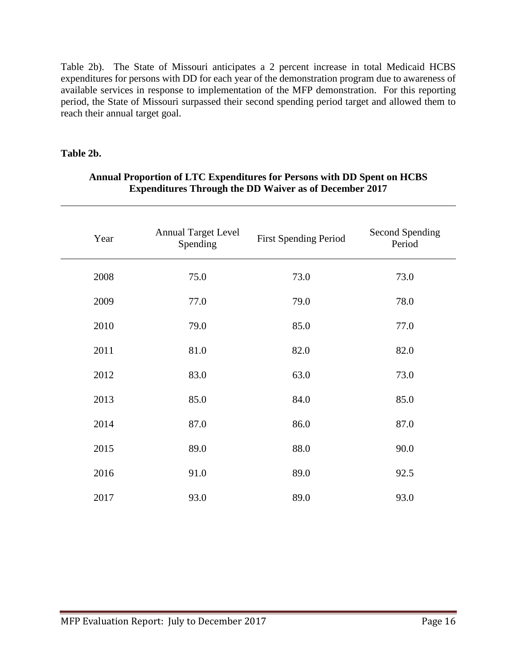Table 2b). The State of Missouri anticipates a 2 percent increase in total Medicaid HCBS expenditures for persons with DD for each year of the demonstration program due to awareness of available services in response to implementation of the MFP demonstration. For this reporting period, the State of Missouri surpassed their second spending period target and allowed them to reach their annual target goal.

#### **Table 2b.**

| Year | <b>Annual Target Level</b><br>Spending | <b>First Spending Period</b> | Second Spending<br>Period |  |
|------|----------------------------------------|------------------------------|---------------------------|--|
| 2008 | 75.0                                   | 73.0                         | 73.0                      |  |
| 2009 | 77.0                                   | 79.0                         | 78.0                      |  |
| 2010 | 79.0                                   | 85.0                         | 77.0                      |  |
| 2011 | 81.0                                   | 82.0                         | 82.0                      |  |
| 2012 | 83.0                                   | 63.0                         | 73.0                      |  |
| 2013 | 85.0                                   | 84.0                         | 85.0                      |  |
| 2014 | 87.0                                   | 86.0                         | 87.0                      |  |
| 2015 | 89.0                                   | 88.0                         | 90.0                      |  |
| 2016 | 91.0                                   | 89.0                         | 92.5                      |  |
| 2017 | 93.0                                   | 89.0                         | 93.0                      |  |

#### **Annual Proportion of LTC Expenditures for Persons with DD Spent on HCBS Expenditures Through the DD Waiver as of December 2017**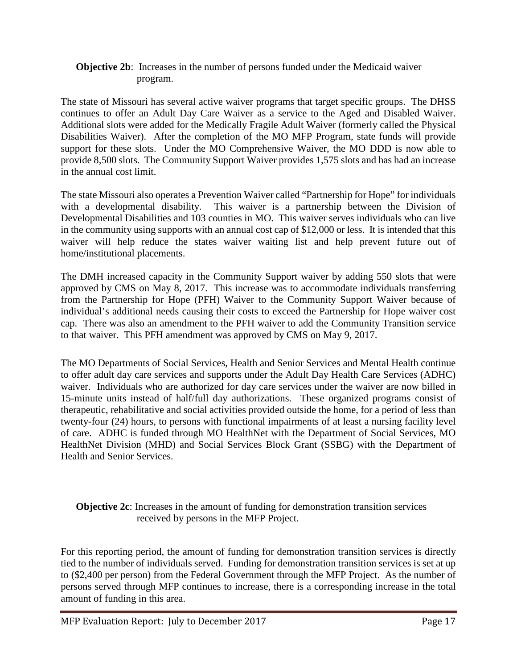#### **Objective 2b:** Increases in the number of persons funded under the Medicaid waiver program.

The state of Missouri has several active waiver programs that target specific groups. The DHSS continues to offer an Adult Day Care Waiver as a service to the Aged and Disabled Waiver. Additional slots were added for the Medically Fragile Adult Waiver (formerly called the Physical Disabilities Waiver). After the completion of the MO MFP Program, state funds will provide support for these slots. Under the MO Comprehensive Waiver, the MO DDD is now able to provide 8,500 slots. The Community Support Waiver provides 1,575 slots and has had an increase in the annual cost limit.

The state Missouri also operates a Prevention Waiver called "Partnership for Hope" for individuals with a developmental disability. This waiver is a partnership between the Division of Developmental Disabilities and 103 counties in MO. This waiver serves individuals who can live in the community using supports with an annual cost cap of \$12,000 or less. It is intended that this waiver will help reduce the states waiver waiting list and help prevent future out of home/institutional placements.

The DMH increased capacity in the Community Support waiver by adding 550 slots that were approved by CMS on May 8, 2017. This increase was to accommodate individuals transferring from the Partnership for Hope (PFH) Waiver to the Community Support Waiver because of individual's additional needs causing their costs to exceed the Partnership for Hope waiver cost cap. There was also an amendment to the PFH waiver to add the Community Transition service to that waiver. This PFH amendment was approved by CMS on May 9, 2017.

The MO Departments of Social Services, Health and Senior Services and Mental Health continue to offer adult day care services and supports under the Adult Day Health Care Services (ADHC) waiver. Individuals who are authorized for day care services under the waiver are now billed in 15-minute units instead of half/full day authorizations. These organized programs consist of therapeutic, rehabilitative and social activities provided outside the home, for a period of less than twenty-four (24) hours, to persons with functional impairments of at least a nursing facility level of care. ADHC is funded through MO HealthNet with the Department of Social Services, MO HealthNet Division (MHD) and Social Services Block Grant (SSBG) with the Department of Health and Senior Services.

**Objective 2c**: Increases in the amount of funding for demonstration transition services received by persons in the MFP Project.

For this reporting period, the amount of funding for demonstration transition services is directly tied to the number of individuals served. Funding for demonstration transition services is set at up to (\$2,400 per person) from the Federal Government through the MFP Project. As the number of persons served through MFP continues to increase, there is a corresponding increase in the total amount of funding in this area.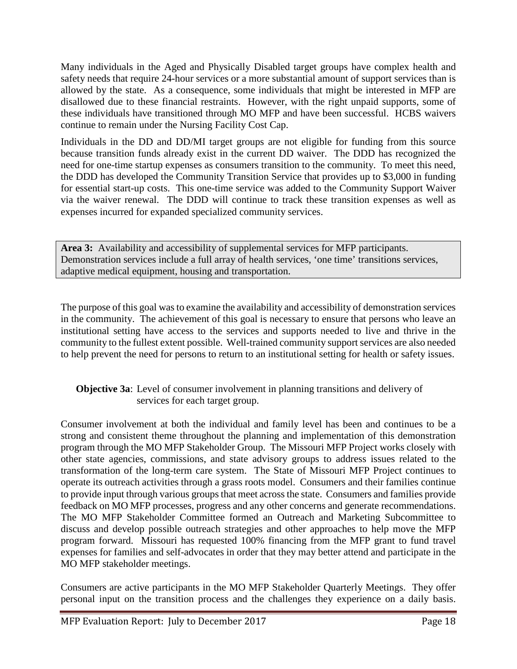Many individuals in the Aged and Physically Disabled target groups have complex health and safety needs that require 24-hour services or a more substantial amount of support services than is allowed by the state. As a consequence, some individuals that might be interested in MFP are disallowed due to these financial restraints. However, with the right unpaid supports, some of these individuals have transitioned through MO MFP and have been successful. HCBS waivers continue to remain under the Nursing Facility Cost Cap.

Individuals in the DD and DD/MI target groups are not eligible for funding from this source because transition funds already exist in the current DD waiver. The DDD has recognized the need for one-time startup expenses as consumers transition to the community. To meet this need, the DDD has developed the Community Transition Service that provides up to \$3,000 in funding for essential start-up costs. This one-time service was added to the Community Support Waiver via the waiver renewal. The DDD will continue to track these transition expenses as well as expenses incurred for expanded specialized community services.

**Area 3:** Availability and accessibility of supplemental services for MFP participants. Demonstration services include a full array of health services, 'one time' transitions services, adaptive medical equipment, housing and transportation.

The purpose of this goal was to examine the availability and accessibility of demonstration services in the community. The achievement of this goal is necessary to ensure that persons who leave an institutional setting have access to the services and supports needed to live and thrive in the community to the fullest extent possible. Well-trained community support services are also needed to help prevent the need for persons to return to an institutional setting for health or safety issues.

#### **Objective 3a**: Level of consumer involvement in planning transitions and delivery of services for each target group.

Consumer involvement at both the individual and family level has been and continues to be a strong and consistent theme throughout the planning and implementation of this demonstration program through the MO MFP Stakeholder Group. The Missouri MFP Project works closely with other state agencies, commissions, and state advisory groups to address issues related to the transformation of the long-term care system. The State of Missouri MFP Project continues to operate its outreach activities through a grass roots model. Consumers and their families continue to provide input through various groups that meet across the state. Consumers and families provide feedback on MO MFP processes, progress and any other concerns and generate recommendations. The MO MFP Stakeholder Committee formed an Outreach and Marketing Subcommittee to discuss and develop possible outreach strategies and other approaches to help move the MFP program forward. Missouri has requested 100% financing from the MFP grant to fund travel expenses for families and self-advocates in order that they may better attend and participate in the MO MFP stakeholder meetings.

Consumers are active participants in the MO MFP Stakeholder Quarterly Meetings. They offer personal input on the transition process and the challenges they experience on a daily basis.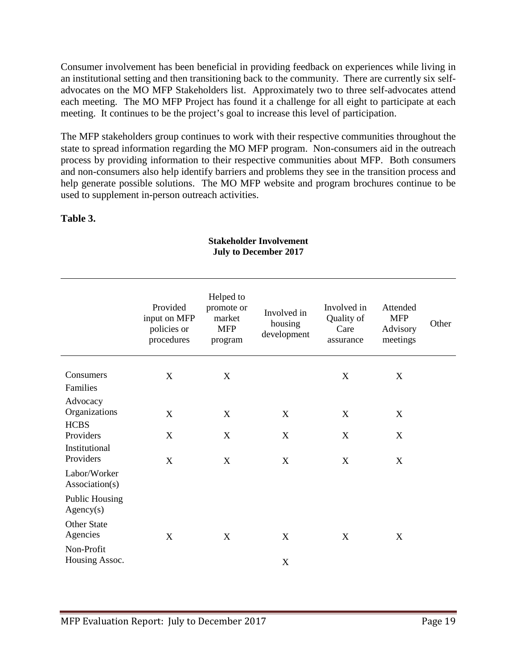Consumer involvement has been beneficial in providing feedback on experiences while living in an institutional setting and then transitioning back to the community. There are currently six selfadvocates on the MO MFP Stakeholders list. Approximately two to three self-advocates attend each meeting. The MO MFP Project has found it a challenge for all eight to participate at each meeting. It continues to be the project's goal to increase this level of participation.

The MFP stakeholders group continues to work with their respective communities throughout the state to spread information regarding the MO MFP program. Non-consumers aid in the outreach process by providing information to their respective communities about MFP. Both consumers and non-consumers also help identify barriers and problems they see in the transition process and help generate possible solutions. The MO MFP website and program brochures continue to be used to supplement in-person outreach activities.

#### **Table 3.**

|                                                              | Provided<br>input on MFP<br>policies or<br>procedures | Helped to<br>promote or<br>market<br><b>MFP</b><br>program | Involved in<br>housing<br>development | Involved in<br>Quality of<br>Care<br>assurance | Attended<br><b>MFP</b><br>Advisory<br>meetings | Other |
|--------------------------------------------------------------|-------------------------------------------------------|------------------------------------------------------------|---------------------------------------|------------------------------------------------|------------------------------------------------|-------|
| Consumers<br>Families                                        | X                                                     | $\mathbf X$                                                |                                       | X                                              | X                                              |       |
| Advocacy<br>Organizations<br><b>HCBS</b>                     | X                                                     | $\mathbf X$                                                | X                                     | X                                              | X                                              |       |
| Providers                                                    | X                                                     | X                                                          | $\mathbf X$                           | X                                              | X                                              |       |
| Institutional<br>Providers<br>Labor/Worker<br>Association(s) | X                                                     | X                                                          | X                                     | X                                              | X                                              |       |
| <b>Public Housing</b><br>Agency(s)                           |                                                       |                                                            |                                       |                                                |                                                |       |
| <b>Other State</b><br>Agencies                               | X                                                     | X                                                          | X                                     | X                                              | X                                              |       |
| Non-Profit<br>Housing Assoc.                                 |                                                       |                                                            | X                                     |                                                |                                                |       |

#### **Stakeholder Involvement July to December 2017**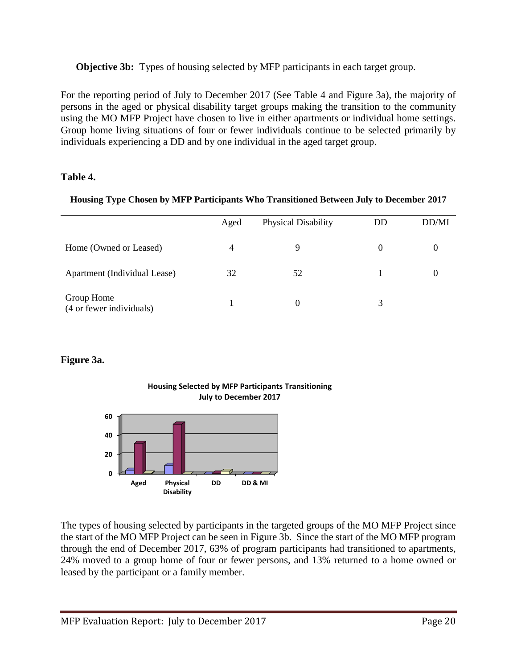**Objective 3b:** Types of housing selected by MFP participants in each target group.

For the reporting period of July to December 2017 (See Table 4 and Figure 3a), the majority of persons in the aged or physical disability target groups making the transition to the community using the MO MFP Project have chosen to live in either apartments or individual home settings. Group home living situations of four or fewer individuals continue to be selected primarily by individuals experiencing a DD and by one individual in the aged target group.

#### **Table 4.**

|  | Housing Type Chosen by MFP Participants Who Transitioned Between July to December 2017 |
|--|----------------------------------------------------------------------------------------|
|  |                                                                                        |
|  |                                                                                        |

|                                        | Aged | Physical Disability | DD       | DD/MI |
|----------------------------------------|------|---------------------|----------|-------|
| Home (Owned or Leased)                 | 4    |                     | $\theta$ |       |
| Apartment (Individual Lease)           | 32   | 52                  |          |       |
| Group Home<br>(4 or fewer individuals) |      | $\theta$            |          |       |

### **Figure 3a.**



#### **Housing Selected by MFP Participants Transitioning July to December 2017**

The types of housing selected by participants in the targeted groups of the MO MFP Project since the start of the MO MFP Project can be seen in Figure 3b. Since the start of the MO MFP program through the end of December 2017, 63% of program participants had transitioned to apartments, 24% moved to a group home of four or fewer persons, and 13% returned to a home owned or leased by the participant or a family member.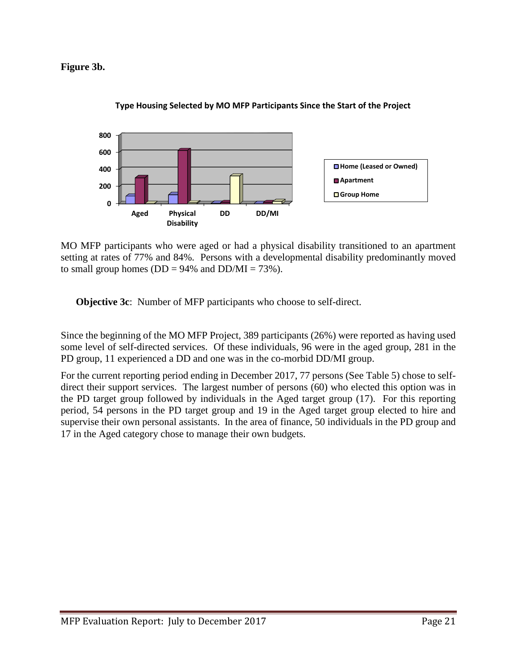#### **Figure 3b.**



#### **Type Housing Selected by MO MFP Participants Since the Start of the Project**

MO MFP participants who were aged or had a physical disability transitioned to an apartment setting at rates of 77% and 84%. Persons with a developmental disability predominantly moved to small group homes ( $DD = 94\%$  and  $DD/MI = 73\%$ ).

**Objective 3c**: Number of MFP participants who choose to self-direct.

Since the beginning of the MO MFP Project, 389 participants (26%) were reported as having used some level of self-directed services. Of these individuals, 96 were in the aged group, 281 in the PD group, 11 experienced a DD and one was in the co-morbid DD/MI group.

For the current reporting period ending in December 2017, 77 persons (See Table 5) chose to selfdirect their support services. The largest number of persons (60) who elected this option was in the PD target group followed by individuals in the Aged target group (17). For this reporting period, 54 persons in the PD target group and 19 in the Aged target group elected to hire and supervise their own personal assistants. In the area of finance, 50 individuals in the PD group and 17 in the Aged category chose to manage their own budgets.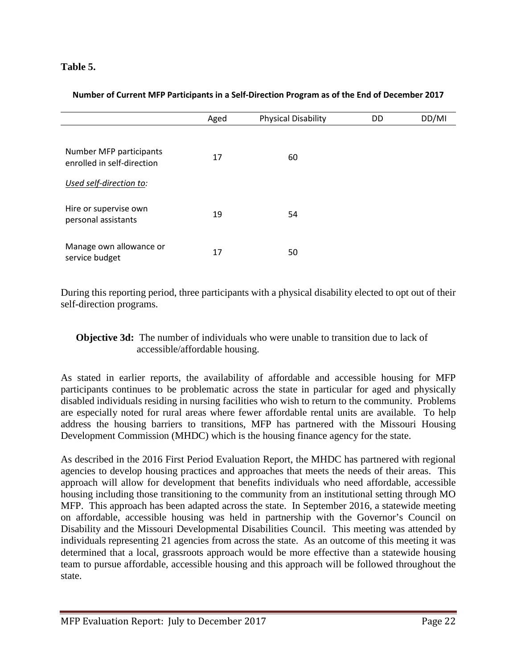#### **Table 5.**

#### **Number of Current MFP Participants in a Self-Direction Program as of the End of December 2017**

|                                                       | Aged | <b>Physical Disability</b> | DD | DD/MI |
|-------------------------------------------------------|------|----------------------------|----|-------|
| Number MFP participants<br>enrolled in self-direction | 17   | 60                         |    |       |
| Used self-direction to:                               |      |                            |    |       |
| Hire or supervise own<br>personal assistants          | 19   | 54                         |    |       |
| Manage own allowance or<br>service budget             | 17   | 50                         |    |       |

During this reporting period, three participants with a physical disability elected to opt out of their self-direction programs.

**Objective 3d:** The number of individuals who were unable to transition due to lack of accessible/affordable housing.

As stated in earlier reports, the availability of affordable and accessible housing for MFP participants continues to be problematic across the state in particular for aged and physically disabled individuals residing in nursing facilities who wish to return to the community. Problems are especially noted for rural areas where fewer affordable rental units are available. To help address the housing barriers to transitions, MFP has partnered with the Missouri Housing Development Commission (MHDC) which is the housing finance agency for the state.

As described in the 2016 First Period Evaluation Report, the MHDC has partnered with regional agencies to develop housing practices and approaches that meets the needs of their areas. This approach will allow for development that benefits individuals who need affordable, accessible housing including those transitioning to the community from an institutional setting through MO MFP. This approach has been adapted across the state. In September 2016, a statewide meeting on affordable, accessible housing was held in partnership with the Governor's Council on Disability and the Missouri Developmental Disabilities Council. This meeting was attended by individuals representing 21 agencies from across the state. As an outcome of this meeting it was determined that a local, grassroots approach would be more effective than a statewide housing team to pursue affordable, accessible housing and this approach will be followed throughout the state.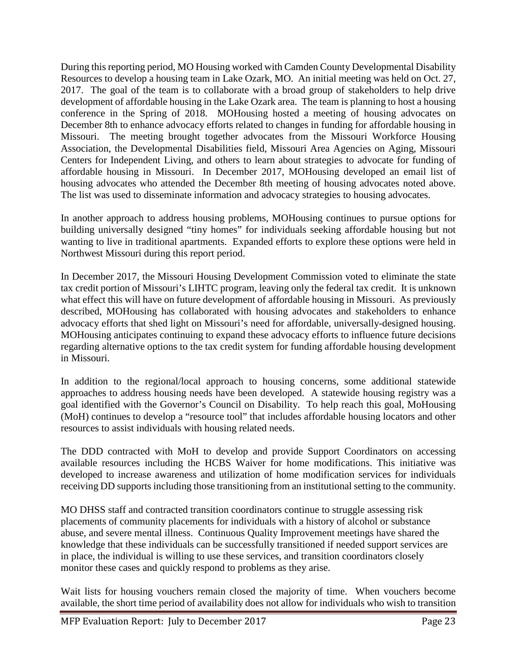During this reporting period, MO Housing worked with Camden County Developmental Disability Resources to develop a housing team in Lake Ozark, MO. An initial meeting was held on Oct. 27, 2017. The goal of the team is to collaborate with a broad group of stakeholders to help drive development of affordable housing in the Lake Ozark area. The team is planning to host a housing conference in the Spring of 2018. MOHousing hosted a meeting of housing advocates on December 8th to enhance advocacy efforts related to changes in funding for affordable housing in Missouri. The meeting brought together advocates from the Missouri Workforce Housing Association, the Developmental Disabilities field, Missouri Area Agencies on Aging, Missouri Centers for Independent Living, and others to learn about strategies to advocate for funding of affordable housing in Missouri. In December 2017, MOHousing developed an email list of housing advocates who attended the December 8th meeting of housing advocates noted above. The list was used to disseminate information and advocacy strategies to housing advocates.

In another approach to address housing problems, MOHousing continues to pursue options for building universally designed "tiny homes" for individuals seeking affordable housing but not wanting to live in traditional apartments. Expanded efforts to explore these options were held in Northwest Missouri during this report period.

In December 2017, the Missouri Housing Development Commission voted to eliminate the state tax credit portion of Missouri's LIHTC program, leaving only the federal tax credit. It is unknown what effect this will have on future development of affordable housing in Missouri. As previously described, MOHousing has collaborated with housing advocates and stakeholders to enhance advocacy efforts that shed light on Missouri's need for affordable, universally-designed housing. MOHousing anticipates continuing to expand these advocacy efforts to influence future decisions regarding alternative options to the tax credit system for funding affordable housing development in Missouri.

In addition to the regional/local approach to housing concerns, some additional statewide approaches to address housing needs have been developed. A statewide housing registry was a goal identified with the Governor's Council on Disability. To help reach this goal, MoHousing (MoH) continues to develop a "resource tool" that includes affordable housing locators and other resources to assist individuals with housing related needs.

The DDD contracted with MoH to develop and provide Support Coordinators on accessing available resources including the HCBS Waiver for home modifications. This initiative was developed to increase awareness and utilization of home modification services for individuals receiving DD supports including those transitioning from an institutional setting to the community.

MO DHSS staff and contracted transition coordinators continue to struggle assessing risk placements of community placements for individuals with a history of alcohol or substance abuse, and severe mental illness. Continuous Quality Improvement meetings have shared the knowledge that these individuals can be successfully transitioned if needed support services are in place, the individual is willing to use these services, and transition coordinators closely monitor these cases and quickly respond to problems as they arise.

Wait lists for housing vouchers remain closed the majority of time. When vouchers become available, the short time period of availability does not allow for individuals who wish to transition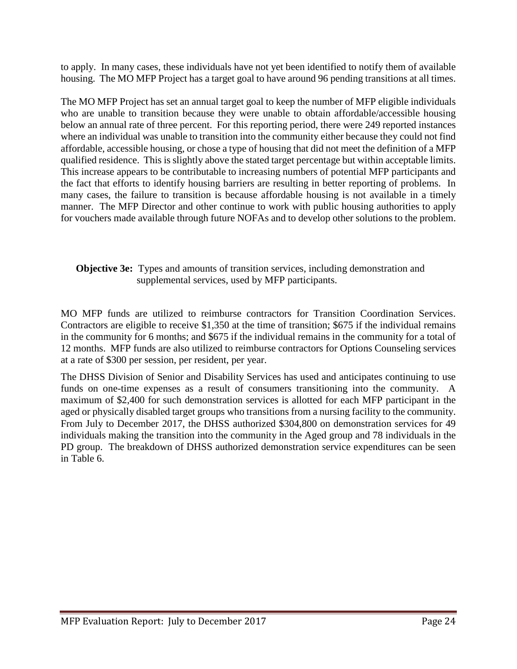to apply. In many cases, these individuals have not yet been identified to notify them of available housing. The MO MFP Project has a target goal to have around 96 pending transitions at all times.

The MO MFP Project has set an annual target goal to keep the number of MFP eligible individuals who are unable to transition because they were unable to obtain affordable/accessible housing below an annual rate of three percent. For this reporting period, there were 249 reported instances where an individual was unable to transition into the community either because they could not find affordable, accessible housing, or chose a type of housing that did not meet the definition of a MFP qualified residence. This is slightly above the stated target percentage but within acceptable limits. This increase appears to be contributable to increasing numbers of potential MFP participants and the fact that efforts to identify housing barriers are resulting in better reporting of problems. In many cases, the failure to transition is because affordable housing is not available in a timely manner. The MFP Director and other continue to work with public housing authorities to apply for vouchers made available through future NOFAs and to develop other solutions to the problem.

#### **Objective 3e:** Types and amounts of transition services, including demonstration and supplemental services, used by MFP participants.

MO MFP funds are utilized to reimburse contractors for Transition Coordination Services. Contractors are eligible to receive \$1,350 at the time of transition; \$675 if the individual remains in the community for 6 months; and \$675 if the individual remains in the community for a total of 12 months. MFP funds are also utilized to reimburse contractors for Options Counseling services at a rate of \$300 per session, per resident, per year.

The DHSS Division of Senior and Disability Services has used and anticipates continuing to use funds on one-time expenses as a result of consumers transitioning into the community. A maximum of \$2,400 for such demonstration services is allotted for each MFP participant in the aged or physically disabled target groups who transitions from a nursing facility to the community. From July to December 2017, the DHSS authorized \$304,800 on demonstration services for 49 individuals making the transition into the community in the Aged group and 78 individuals in the PD group. The breakdown of DHSS authorized demonstration service expenditures can be seen in Table 6.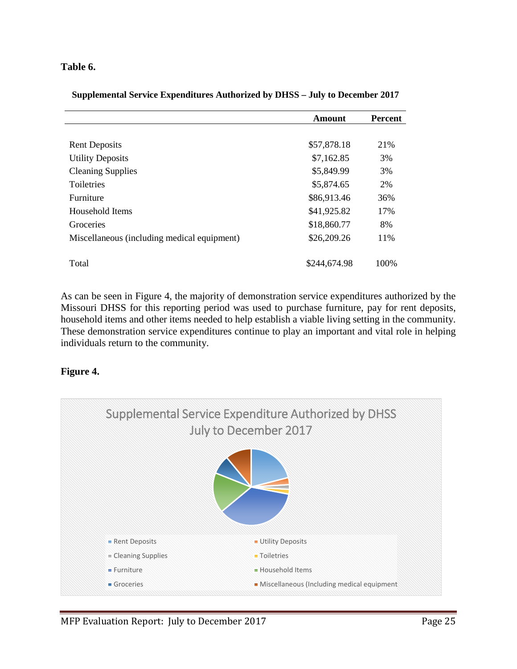#### **Table 6.**

|  | Supplemental Service Expenditures Authorized by DHSS – July to December 2017 |
|--|------------------------------------------------------------------------------|
|  |                                                                              |

|                                             | <b>Amount</b> | <b>Percent</b> |
|---------------------------------------------|---------------|----------------|
|                                             |               |                |
| <b>Rent Deposits</b>                        | \$57,878.18   | 21\%           |
| <b>Utility Deposits</b>                     | \$7,162.85    | 3%             |
| <b>Cleaning Supplies</b>                    | \$5,849.99    | 3%             |
| <b>Toiletries</b>                           | \$5,874.65    | 2%             |
| Furniture                                   | \$86,913.46   | 36%            |
| Household Items                             | \$41,925.82   | 17%            |
| Groceries                                   | \$18,860.77   | 8%             |
| Miscellaneous (including medical equipment) | \$26,209.26   | 11%            |
|                                             |               |                |
| Total                                       | \$244,674.98  | 100%           |

As can be seen in Figure 4, the majority of demonstration service expenditures authorized by the Missouri DHSS for this reporting period was used to purchase furniture, pay for rent deposits, household items and other items needed to help establish a viable living setting in the community. These demonstration service expenditures continue to play an important and vital role in helping individuals return to the community.

#### **Figure 4.**

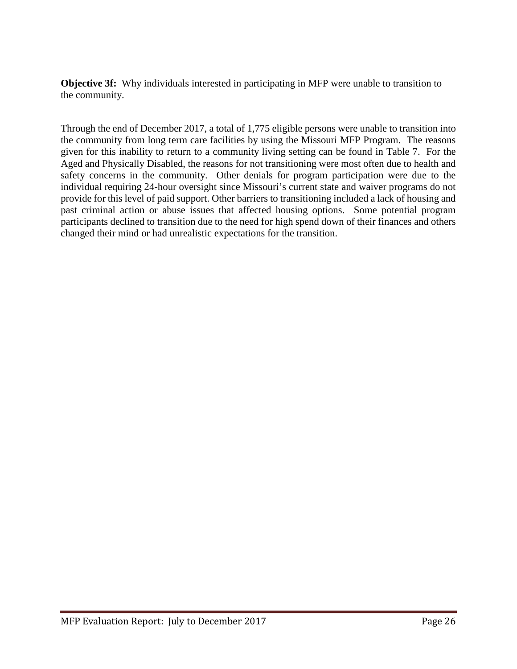**Objective 3f:** Why individuals interested in participating in MFP were unable to transition to the community.

Through the end of December 2017, a total of 1,775 eligible persons were unable to transition into the community from long term care facilities by using the Missouri MFP Program. The reasons given for this inability to return to a community living setting can be found in Table 7. For the Aged and Physically Disabled, the reasons for not transitioning were most often due to health and safety concerns in the community. Other denials for program participation were due to the individual requiring 24-hour oversight since Missouri's current state and waiver programs do not provide for this level of paid support. Other barriers to transitioning included a lack of housing and past criminal action or abuse issues that affected housing options. Some potential program participants declined to transition due to the need for high spend down of their finances and others changed their mind or had unrealistic expectations for the transition.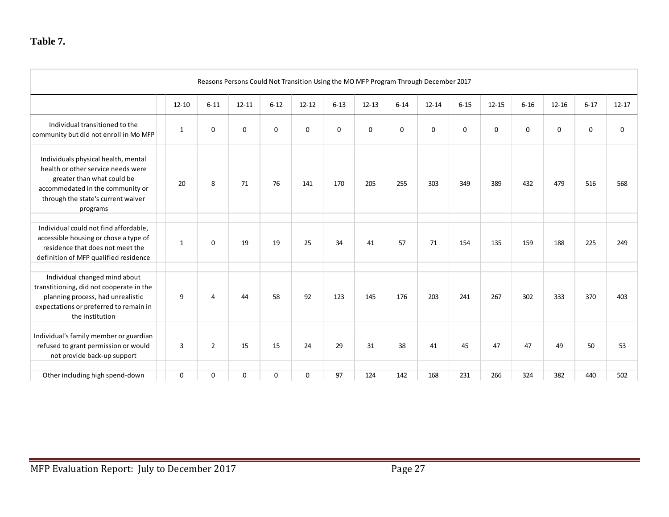|                                                                                                                                                                                               | Reasons Persons Could Not Transition Using the MO MFP Program Through December 2017 |                |             |             |           |          |           |             |           |             |           |          |           |          |             |
|-----------------------------------------------------------------------------------------------------------------------------------------------------------------------------------------------|-------------------------------------------------------------------------------------|----------------|-------------|-------------|-----------|----------|-----------|-------------|-----------|-------------|-----------|----------|-----------|----------|-------------|
|                                                                                                                                                                                               | $12 - 10$                                                                           | $6 - 11$       | $12 - 11$   | $6 - 12$    | $12 - 12$ | $6 - 13$ | $12 - 13$ | $6 - 14$    | $12 - 14$ | $6 - 15$    | $12 - 15$ | $6 - 16$ | $12 - 16$ | $6 - 17$ | $12 - 17$   |
| Individual transitioned to the<br>community but did not enroll in Mo MFP                                                                                                                      | 1                                                                                   | 0              | $\mathbf 0$ | $\mathbf 0$ | 0         | 0        | 0         | $\mathbf 0$ | 0         | $\mathbf 0$ | 0         | $\Omega$ | 0         | 0        | $\mathbf 0$ |
| Individuals physical health, mental<br>health or other service needs were<br>greater than what could be<br>accommodated in the community or<br>through the state's current waiver<br>programs | 20                                                                                  | 8              | 71          | 76          | 141       | 170      | 205       | 255         | 303       | 349         | 389       | 432      | 479       | 516      | 568         |
| Individual could not find affordable,<br>accessible housing or chose a type of<br>residence that does not meet the<br>definition of MFP qualified residence                                   | 1                                                                                   | 0              | 19          | 19          | 25        | 34       | 41        | 57          | 71        | 154         | 135       | 159      | 188       | 225      | 249         |
| Individual changed mind about<br>transtitioning, did not cooperate in the<br>planning process, had unrealistic<br>expectations or preferred to remain in<br>the institution                   | 9                                                                                   | 4              | 44          | 58          | 92        | 123      | 145       | 176         | 203       | 241         | 267       | 302      | 333       | 370      | 403         |
| Individual's family member or guardian<br>refused to grant permission or would<br>not provide back-up support                                                                                 | 3                                                                                   | $\overline{2}$ | 15          | 15          | 24        | 29       | 31        | 38          | 41        | 45          | 47        | 47       | 49        | 50       | 53          |
| Other including high spend-down                                                                                                                                                               | $\Omega$                                                                            | 0              | $\mathbf 0$ | $\mathbf 0$ | 0         | 97       | 124       | 142         | 168       | 231         | 266       | 324      | 382       | 440      | 502         |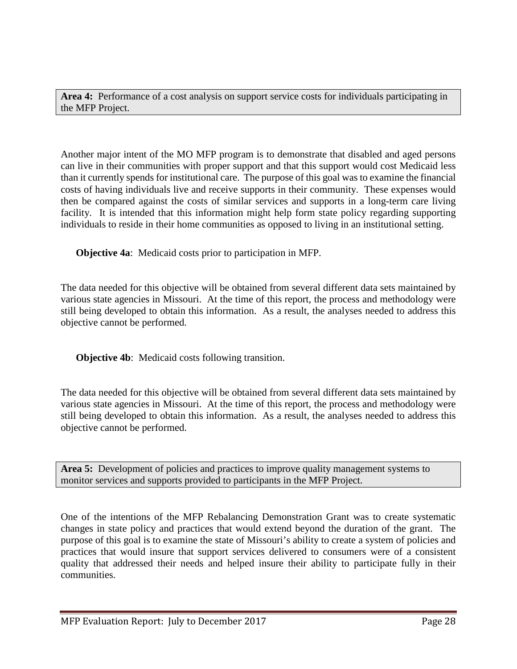**Area 4:** Performance of a cost analysis on support service costs for individuals participating in the MFP Project.

Another major intent of the MO MFP program is to demonstrate that disabled and aged persons can live in their communities with proper support and that this support would cost Medicaid less than it currently spends for institutional care. The purpose of this goal was to examine the financial costs of having individuals live and receive supports in their community. These expenses would then be compared against the costs of similar services and supports in a long-term care living facility. It is intended that this information might help form state policy regarding supporting individuals to reside in their home communities as opposed to living in an institutional setting.

**Objective 4a**: Medicaid costs prior to participation in MFP.

The data needed for this objective will be obtained from several different data sets maintained by various state agencies in Missouri. At the time of this report, the process and methodology were still being developed to obtain this information. As a result, the analyses needed to address this objective cannot be performed.

**Objective 4b**: Medicaid costs following transition.

The data needed for this objective will be obtained from several different data sets maintained by various state agencies in Missouri. At the time of this report, the process and methodology were still being developed to obtain this information. As a result, the analyses needed to address this objective cannot be performed.

**Area 5:** Development of policies and practices to improve quality management systems to monitor services and supports provided to participants in the MFP Project.

One of the intentions of the MFP Rebalancing Demonstration Grant was to create systematic changes in state policy and practices that would extend beyond the duration of the grant. The purpose of this goal is to examine the state of Missouri's ability to create a system of policies and practices that would insure that support services delivered to consumers were of a consistent quality that addressed their needs and helped insure their ability to participate fully in their communities.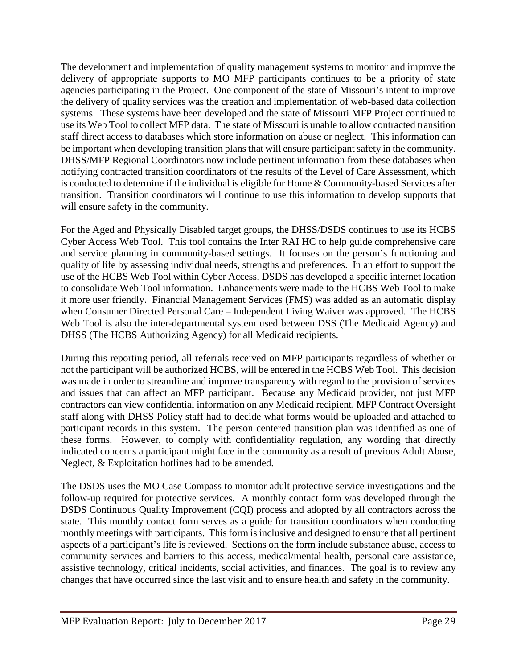The development and implementation of quality management systems to monitor and improve the delivery of appropriate supports to MO MFP participants continues to be a priority of state agencies participating in the Project. One component of the state of Missouri's intent to improve the delivery of quality services was the creation and implementation of web-based data collection systems. These systems have been developed and the state of Missouri MFP Project continued to use its Web Tool to collect MFP data. The state of Missouri is unable to allow contracted transition staff direct access to databases which store information on abuse or neglect. This information can be important when developing transition plans that will ensure participant safety in the community. DHSS/MFP Regional Coordinators now include pertinent information from these databases when notifying contracted transition coordinators of the results of the Level of Care Assessment, which is conducted to determine if the individual is eligible for Home & Community-based Services after transition. Transition coordinators will continue to use this information to develop supports that will ensure safety in the community.

For the Aged and Physically Disabled target groups, the DHSS/DSDS continues to use its HCBS Cyber Access Web Tool. This tool contains the Inter RAI HC to help guide comprehensive care and service planning in community-based settings. It focuses on the person's functioning and quality of life by assessing individual needs, strengths and preferences. In an effort to support the use of the HCBS Web Tool within Cyber Access, DSDS has developed a specific internet location to consolidate Web Tool information. Enhancements were made to the HCBS Web Tool to make it more user friendly. Financial Management Services (FMS) was added as an automatic display when Consumer Directed Personal Care – Independent Living Waiver was approved. The HCBS Web Tool is also the inter-departmental system used between DSS (The Medicaid Agency) and DHSS (The HCBS Authorizing Agency) for all Medicaid recipients.

During this reporting period, all referrals received on MFP participants regardless of whether or not the participant will be authorized HCBS, will be entered in the HCBS Web Tool. This decision was made in order to streamline and improve transparency with regard to the provision of services and issues that can affect an MFP participant. Because any Medicaid provider, not just MFP contractors can view confidential information on any Medicaid recipient, MFP Contract Oversight staff along with DHSS Policy staff had to decide what forms would be uploaded and attached to participant records in this system. The person centered transition plan was identified as one of these forms. However, to comply with confidentiality regulation, any wording that directly indicated concerns a participant might face in the community as a result of previous Adult Abuse, Neglect, & Exploitation hotlines had to be amended.

The DSDS uses the MO Case Compass to monitor adult protective service investigations and the follow-up required for protective services. A monthly contact form was developed through the DSDS Continuous Quality Improvement (CQI) process and adopted by all contractors across the state. This monthly contact form serves as a guide for transition coordinators when conducting monthly meetings with participants. This form is inclusive and designed to ensure that all pertinent aspects of a participant's life is reviewed. Sections on the form include substance abuse, access to community services and barriers to this access, medical/mental health, personal care assistance, assistive technology, critical incidents, social activities, and finances. The goal is to review any changes that have occurred since the last visit and to ensure health and safety in the community.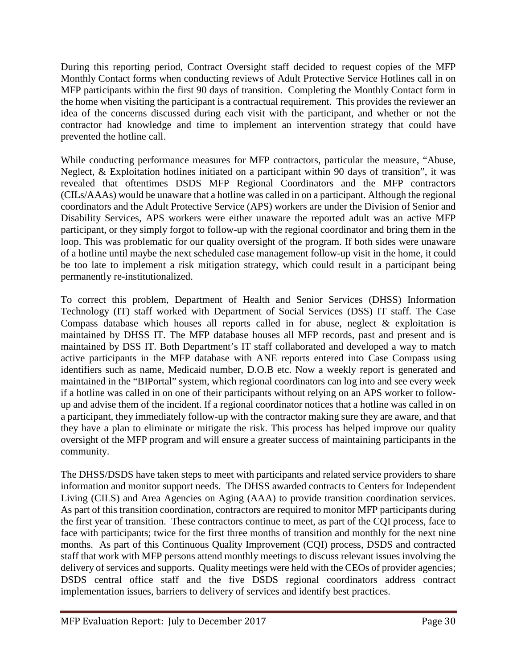During this reporting period, Contract Oversight staff decided to request copies of the MFP Monthly Contact forms when conducting reviews of Adult Protective Service Hotlines call in on MFP participants within the first 90 days of transition. Completing the Monthly Contact form in the home when visiting the participant is a contractual requirement. This provides the reviewer an idea of the concerns discussed during each visit with the participant, and whether or not the contractor had knowledge and time to implement an intervention strategy that could have prevented the hotline call.

While conducting performance measures for MFP contractors, particular the measure, "Abuse, Neglect, & Exploitation hotlines initiated on a participant within 90 days of transition", it was revealed that oftentimes DSDS MFP Regional Coordinators and the MFP contractors (CILs/AAAs) would be unaware that a hotline was called in on a participant. Although the regional coordinators and the Adult Protective Service (APS) workers are under the Division of Senior and Disability Services, APS workers were either unaware the reported adult was an active MFP participant, or they simply forgot to follow-up with the regional coordinator and bring them in the loop. This was problematic for our quality oversight of the program. If both sides were unaware of a hotline until maybe the next scheduled case management follow-up visit in the home, it could be too late to implement a risk mitigation strategy, which could result in a participant being permanently re-institutionalized.

To correct this problem, Department of Health and Senior Services (DHSS) Information Technology (IT) staff worked with Department of Social Services (DSS) IT staff. The Case Compass database which houses all reports called in for abuse, neglect & exploitation is maintained by DHSS IT. The MFP database houses all MFP records, past and present and is maintained by DSS IT. Both Department's IT staff collaborated and developed a way to match active participants in the MFP database with ANE reports entered into Case Compass using identifiers such as name, Medicaid number, D.O.B etc. Now a weekly report is generated and maintained in the "BIPortal" system, which regional coordinators can log into and see every week if a hotline was called in on one of their participants without relying on an APS worker to followup and advise them of the incident. If a regional coordinator notices that a hotline was called in on a participant, they immediately follow-up with the contractor making sure they are aware, and that they have a plan to eliminate or mitigate the risk. This process has helped improve our quality oversight of the MFP program and will ensure a greater success of maintaining participants in the community.

The DHSS/DSDS have taken steps to meet with participants and related service providers to share information and monitor support needs. The DHSS awarded contracts to Centers for Independent Living (CILS) and Area Agencies on Aging (AAA) to provide transition coordination services. As part of this transition coordination, contractors are required to monitor MFP participants during the first year of transition. These contractors continue to meet, as part of the CQI process, face to face with participants; twice for the first three months of transition and monthly for the next nine months. As part of this Continuous Quality Improvement (CQI) process, DSDS and contracted staff that work with MFP persons attend monthly meetings to discuss relevant issues involving the delivery of services and supports. Quality meetings were held with the CEOs of provider agencies; DSDS central office staff and the five DSDS regional coordinators address contract implementation issues, barriers to delivery of services and identify best practices.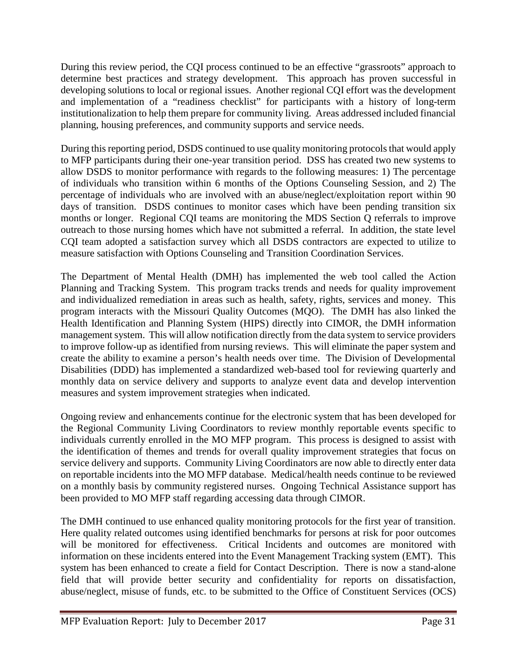During this review period, the CQI process continued to be an effective "grassroots" approach to determine best practices and strategy development. This approach has proven successful in developing solutions to local or regional issues. Another regional CQI effort was the development and implementation of a "readiness checklist" for participants with a history of long-term institutionalization to help them prepare for community living. Areas addressed included financial planning, housing preferences, and community supports and service needs.

During this reporting period, DSDS continued to use quality monitoring protocols that would apply to MFP participants during their one-year transition period. DSS has created two new systems to allow DSDS to monitor performance with regards to the following measures: 1) The percentage of individuals who transition within 6 months of the Options Counseling Session, and 2) The percentage of individuals who are involved with an abuse/neglect/exploitation report within 90 days of transition. DSDS continues to monitor cases which have been pending transition six months or longer. Regional CQI teams are monitoring the MDS Section Q referrals to improve outreach to those nursing homes which have not submitted a referral. In addition, the state level CQI team adopted a satisfaction survey which all DSDS contractors are expected to utilize to measure satisfaction with Options Counseling and Transition Coordination Services.

The Department of Mental Health (DMH) has implemented the web tool called the Action Planning and Tracking System. This program tracks trends and needs for quality improvement and individualized remediation in areas such as health, safety, rights, services and money. This program interacts with the Missouri Quality Outcomes (MQO). The DMH has also linked the Health Identification and Planning System (HIPS) directly into CIMOR, the DMH information management system. This will allow notification directly from the data system to service providers to improve follow-up as identified from nursing reviews. This will eliminate the paper system and create the ability to examine a person's health needs over time. The Division of Developmental Disabilities (DDD) has implemented a standardized web-based tool for reviewing quarterly and monthly data on service delivery and supports to analyze event data and develop intervention measures and system improvement strategies when indicated.

Ongoing review and enhancements continue for the electronic system that has been developed for the Regional Community Living Coordinators to review monthly reportable events specific to individuals currently enrolled in the MO MFP program. This process is designed to assist with the identification of themes and trends for overall quality improvement strategies that focus on service delivery and supports. Community Living Coordinators are now able to directly enter data on reportable incidents into the MO MFP database. Medical/health needs continue to be reviewed on a monthly basis by community registered nurses. Ongoing Technical Assistance support has been provided to MO MFP staff regarding accessing data through CIMOR.

The DMH continued to use enhanced quality monitoring protocols for the first year of transition. Here quality related outcomes using identified benchmarks for persons at risk for poor outcomes will be monitored for effectiveness. Critical Incidents and outcomes are monitored with information on these incidents entered into the Event Management Tracking system (EMT). This system has been enhanced to create a field for Contact Description. There is now a stand-alone field that will provide better security and confidentiality for reports on dissatisfaction, abuse/neglect, misuse of funds, etc. to be submitted to the Office of Constituent Services (OCS)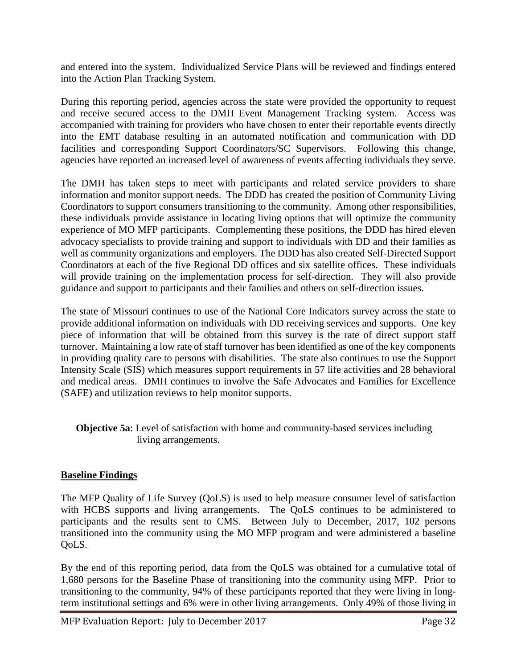and entered into the system. Individualized Service Plans will be reviewed and findings entered into the Action Plan Tracking System.

During this reporting period, agencies across the state were provided the opportunity to request and receive secured access to the DMH Event Management Tracking system. Access was accompanied with training for providers who have chosen to enter their reportable events directly into the EMT database resulting in an automated notification and communication with DD facilities and corresponding Support Coordinators/SC Supervisors. Following this change, agencies have reported an increased level of awareness of events affecting individuals they serve.

The DMH has taken steps to meet with participants and related service providers to share information and monitor support needs. The DDD has created the position of Community Living Coordinators to support consumers transitioning to the community. Among other responsibilities, these individuals provide assistance in locating living options that will optimize the community experience of MO MFP participants. Complementing these positions, the DDD has hired eleven advocacy specialists to provide training and support to individuals with DD and their families as well as community organizations and employers. The DDD has also created Self-Directed Support Coordinators at each of the five Regional DD offices and six satellite offices. These individuals will provide training on the implementation process for self-direction. They will also provide guidance and support to participants and their families and others on self-direction issues.

The state of Missouri continues to use of the National Core Indicators survey across the state to provide additional information on individuals with DD receiving services and supports. One key piece of information that will be obtained from this survey is the rate of direct support staff turnover. Maintaining a low rate of staff turnover has been identified as one of the key components in providing quality care to persons with disabilities. The state also continues to use the Support Intensity Scale (SIS) which measures support requirements in 57 life activities and 28 behavioral and medical areas. DMH continues to involve the Safe Advocates and Families for Excellence (SAFE) and utilization reviews to help monitor supports.

**Objective 5a**: Level of satisfaction with home and community-based services including living arrangements.

#### **Baseline Findings**

The MFP Quality of Life Survey (QoLS) is used to help measure consumer level of satisfaction with HCBS supports and living arrangements. The QoLS continues to be administered to participants and the results sent to CMS. Between July to December, 2017, 102 persons transitioned into the community using the MO MFP program and were administered a baseline OoLS.

By the end of this reporting period, data from the QoLS was obtained for a cumulative total of 1,680 persons for the Baseline Phase of transitioning into the community using MFP. Prior to transitioning to the community, 94% of these participants reported that they were living in longterm institutional settings and 6% were in other living arrangements. Only 49% of those living in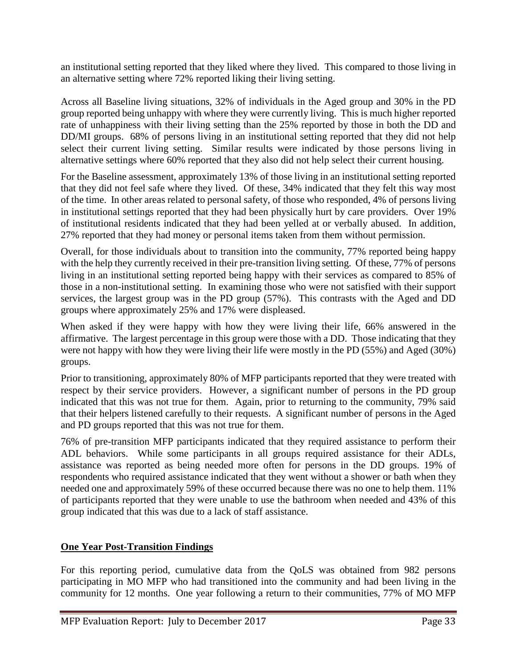an institutional setting reported that they liked where they lived. This compared to those living in an alternative setting where 72% reported liking their living setting.

Across all Baseline living situations, 32% of individuals in the Aged group and 30% in the PD group reported being unhappy with where they were currently living. This is much higher reported rate of unhappiness with their living setting than the 25% reported by those in both the DD and DD/MI groups. 68% of persons living in an institutional setting reported that they did not help select their current living setting. Similar results were indicated by those persons living in alternative settings where 60% reported that they also did not help select their current housing.

For the Baseline assessment, approximately 13% of those living in an institutional setting reported that they did not feel safe where they lived. Of these, 34% indicated that they felt this way most of the time. In other areas related to personal safety, of those who responded, 4% of persons living in institutional settings reported that they had been physically hurt by care providers. Over 19% of institutional residents indicated that they had been yelled at or verbally abused. In addition, 27% reported that they had money or personal items taken from them without permission.

Overall, for those individuals about to transition into the community, 77% reported being happy with the help they currently received in their pre-transition living setting. Of these, 77% of persons living in an institutional setting reported being happy with their services as compared to 85% of those in a non-institutional setting. In examining those who were not satisfied with their support services, the largest group was in the PD group (57%). This contrasts with the Aged and DD groups where approximately 25% and 17% were displeased.

When asked if they were happy with how they were living their life, 66% answered in the affirmative. The largest percentage in this group were those with a DD. Those indicating that they were not happy with how they were living their life were mostly in the PD (55%) and Aged (30%) groups.

Prior to transitioning, approximately 80% of MFP participants reported that they were treated with respect by their service providers. However, a significant number of persons in the PD group indicated that this was not true for them. Again, prior to returning to the community, 79% said that their helpers listened carefully to their requests. A significant number of persons in the Aged and PD groups reported that this was not true for them.

76% of pre-transition MFP participants indicated that they required assistance to perform their ADL behaviors. While some participants in all groups required assistance for their ADLs, assistance was reported as being needed more often for persons in the DD groups. 19% of respondents who required assistance indicated that they went without a shower or bath when they needed one and approximately 59% of these occurred because there was no one to help them. 11% of participants reported that they were unable to use the bathroom when needed and 43% of this group indicated that this was due to a lack of staff assistance.

### **One Year Post-Transition Findings**

For this reporting period, cumulative data from the QoLS was obtained from 982 persons participating in MO MFP who had transitioned into the community and had been living in the community for 12 months. One year following a return to their communities, 77% of MO MFP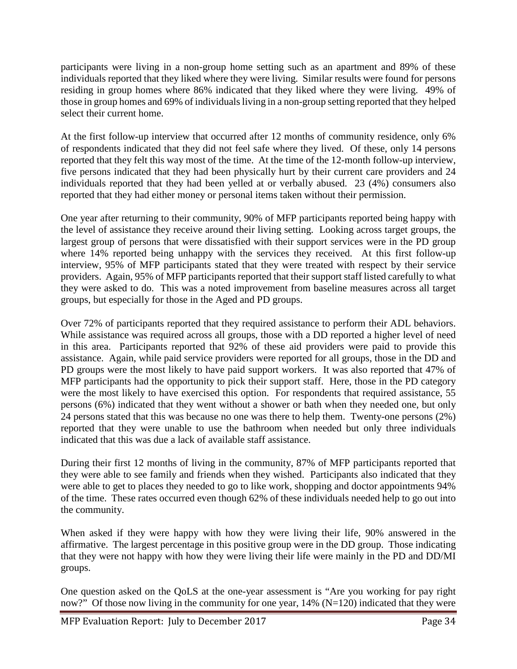participants were living in a non-group home setting such as an apartment and 89% of these individuals reported that they liked where they were living. Similar results were found for persons residing in group homes where 86% indicated that they liked where they were living. 49% of those in group homes and 69% of individuals living in a non-group setting reported that they helped select their current home.

At the first follow-up interview that occurred after 12 months of community residence, only 6% of respondents indicated that they did not feel safe where they lived. Of these, only 14 persons reported that they felt this way most of the time. At the time of the 12-month follow-up interview, five persons indicated that they had been physically hurt by their current care providers and 24 individuals reported that they had been yelled at or verbally abused. 23 (4%) consumers also reported that they had either money or personal items taken without their permission.

One year after returning to their community, 90% of MFP participants reported being happy with the level of assistance they receive around their living setting. Looking across target groups, the largest group of persons that were dissatisfied with their support services were in the PD group where 14% reported being unhappy with the services they received. At this first follow-up interview, 95% of MFP participants stated that they were treated with respect by their service providers. Again, 95% of MFP participants reported that their support staff listed carefully to what they were asked to do. This was a noted improvement from baseline measures across all target groups, but especially for those in the Aged and PD groups.

Over 72% of participants reported that they required assistance to perform their ADL behaviors. While assistance was required across all groups, those with a DD reported a higher level of need in this area. Participants reported that 92% of these aid providers were paid to provide this assistance. Again, while paid service providers were reported for all groups, those in the DD and PD groups were the most likely to have paid support workers. It was also reported that 47% of MFP participants had the opportunity to pick their support staff. Here, those in the PD category were the most likely to have exercised this option. For respondents that required assistance, 55 persons (6%) indicated that they went without a shower or bath when they needed one, but only 24 persons stated that this was because no one was there to help them. Twenty-one persons (2%) reported that they were unable to use the bathroom when needed but only three individuals indicated that this was due a lack of available staff assistance.

During their first 12 months of living in the community, 87% of MFP participants reported that they were able to see family and friends when they wished. Participants also indicated that they were able to get to places they needed to go to like work, shopping and doctor appointments 94% of the time. These rates occurred even though 62% of these individuals needed help to go out into the community.

When asked if they were happy with how they were living their life, 90% answered in the affirmative. The largest percentage in this positive group were in the DD group. Those indicating that they were not happy with how they were living their life were mainly in the PD and DD/MI groups.

One question asked on the QoLS at the one-year assessment is "Are you working for pay right now?" Of those now living in the community for one year, 14% (N=120) indicated that they were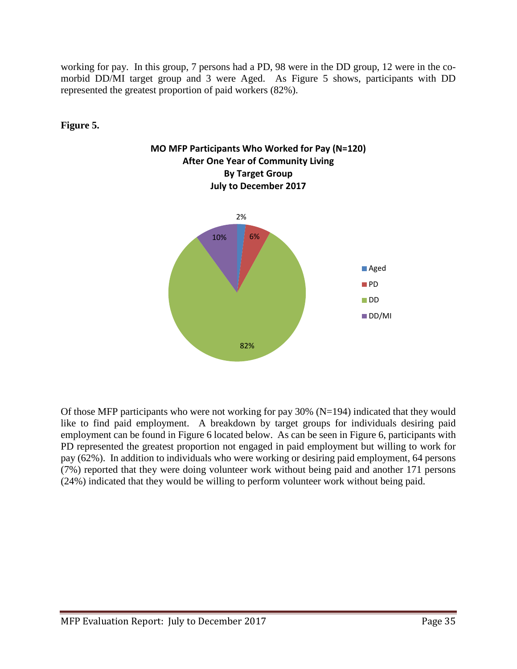working for pay. In this group, 7 persons had a PD, 98 were in the DD group, 12 were in the comorbid DD/MI target group and 3 were Aged. As Figure 5 shows, participants with DD represented the greatest proportion of paid workers (82%).

### **Figure 5.**





Of those MFP participants who were not working for pay 30% (N=194) indicated that they would like to find paid employment. A breakdown by target groups for individuals desiring paid employment can be found in Figure 6 located below. As can be seen in Figure 6, participants with PD represented the greatest proportion not engaged in paid employment but willing to work for pay (62%). In addition to individuals who were working or desiring paid employment, 64 persons (7%) reported that they were doing volunteer work without being paid and another 171 persons (24%) indicated that they would be willing to perform volunteer work without being paid.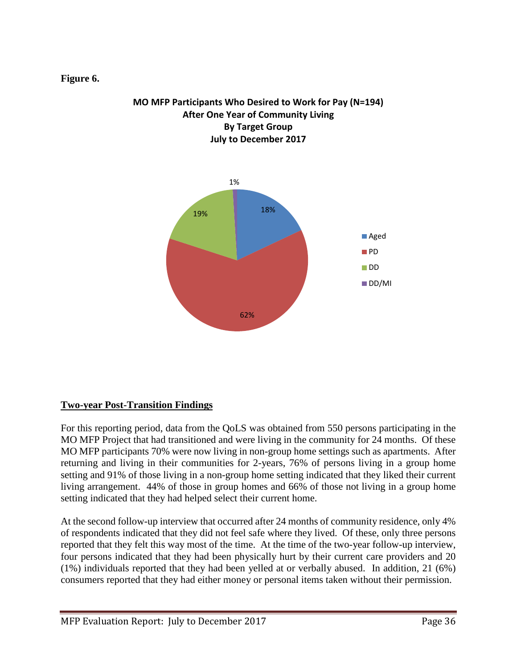#### **Figure 6.**





### **Two-year Post-Transition Findings**

For this reporting period, data from the QoLS was obtained from 550 persons participating in the MO MFP Project that had transitioned and were living in the community for 24 months. Of these MO MFP participants 70% were now living in non-group home settings such as apartments. After returning and living in their communities for 2-years, 76% of persons living in a group home setting and 91% of those living in a non-group home setting indicated that they liked their current living arrangement. 44% of those in group homes and 66% of those not living in a group home setting indicated that they had helped select their current home.

At the second follow-up interview that occurred after 24 months of community residence, only 4% of respondents indicated that they did not feel safe where they lived. Of these, only three persons reported that they felt this way most of the time. At the time of the two-year follow-up interview, four persons indicated that they had been physically hurt by their current care providers and 20 (1%) individuals reported that they had been yelled at or verbally abused. In addition, 21 (6%) consumers reported that they had either money or personal items taken without their permission.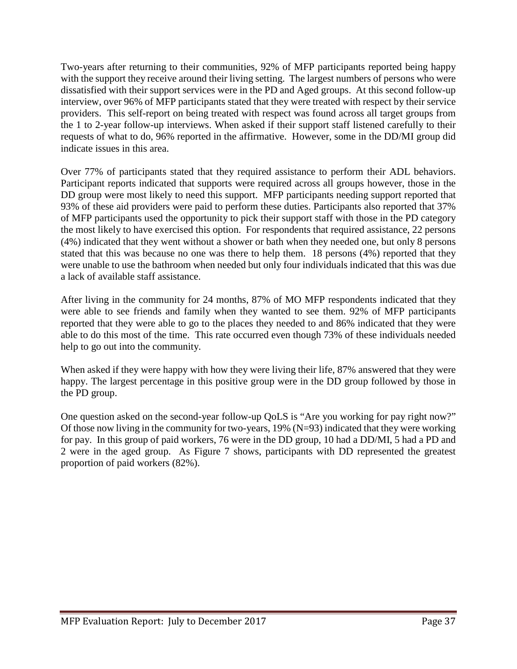Two-years after returning to their communities, 92% of MFP participants reported being happy with the support they receive around their living setting. The largest numbers of persons who were dissatisfied with their support services were in the PD and Aged groups. At this second follow-up interview, over 96% of MFP participants stated that they were treated with respect by their service providers. This self-report on being treated with respect was found across all target groups from the 1 to 2-year follow-up interviews. When asked if their support staff listened carefully to their requests of what to do, 96% reported in the affirmative. However, some in the DD/MI group did indicate issues in this area.

Over 77% of participants stated that they required assistance to perform their ADL behaviors. Participant reports indicated that supports were required across all groups however, those in the DD group were most likely to need this support. MFP participants needing support reported that 93% of these aid providers were paid to perform these duties. Participants also reported that 37% of MFP participants used the opportunity to pick their support staff with those in the PD category the most likely to have exercised this option. For respondents that required assistance, 22 persons (4%) indicated that they went without a shower or bath when they needed one, but only 8 persons stated that this was because no one was there to help them. 18 persons (4%) reported that they were unable to use the bathroom when needed but only four individuals indicated that this was due a lack of available staff assistance.

After living in the community for 24 months, 87% of MO MFP respondents indicated that they were able to see friends and family when they wanted to see them. 92% of MFP participants reported that they were able to go to the places they needed to and 86% indicated that they were able to do this most of the time. This rate occurred even though 73% of these individuals needed help to go out into the community.

When asked if they were happy with how they were living their life, 87% answered that they were happy. The largest percentage in this positive group were in the DD group followed by those in the PD group.

One question asked on the second-year follow-up QoLS is "Are you working for pay right now?" Of those now living in the community for two-years, 19% (N=93) indicated that they were working for pay. In this group of paid workers, 76 were in the DD group, 10 had a DD/MI, 5 had a PD and 2 were in the aged group. As Figure 7 shows, participants with DD represented the greatest proportion of paid workers (82%).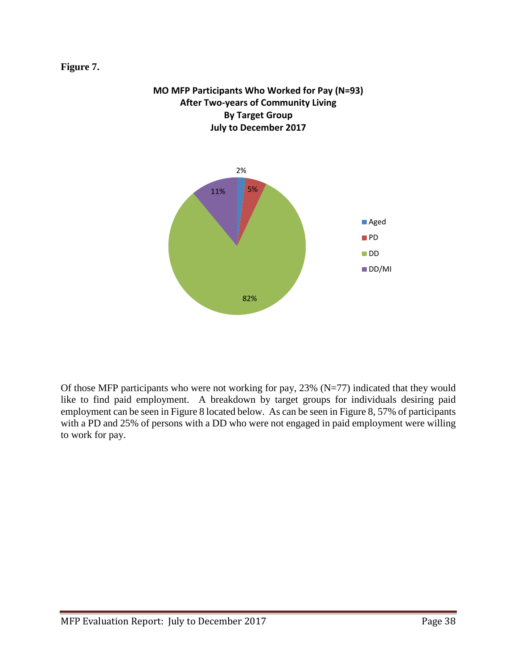#### **Figure 7.**



**MO MFP Participants Who Worked for Pay (N=93)**

Of those MFP participants who were not working for pay,  $23\%$  (N=77) indicated that they would like to find paid employment. A breakdown by target groups for individuals desiring paid employment can be seen in Figure 8 located below. As can be seen in Figure 8, 57% of participants with a PD and 25% of persons with a DD who were not engaged in paid employment were willing to work for pay.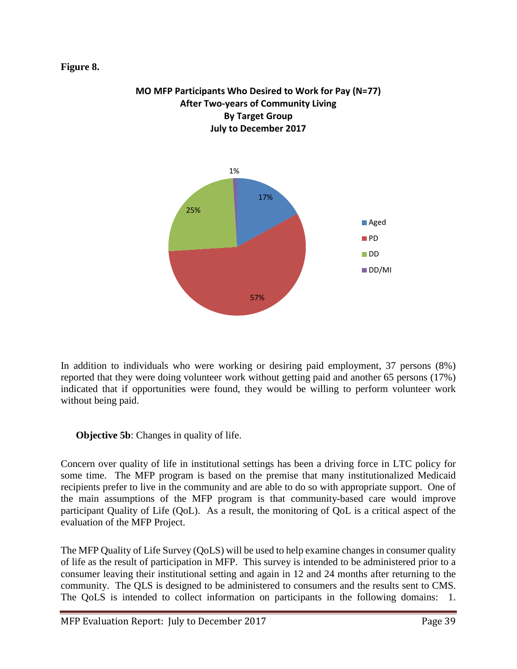#### **Figure 8.**



**MO MFP Participants Who Desired to Work for Pay (N=77) After Two-years of Community Living By Target Group July to December 2017**

In addition to individuals who were working or desiring paid employment, 37 persons (8%) reported that they were doing volunteer work without getting paid and another 65 persons (17%) indicated that if opportunities were found, they would be willing to perform volunteer work without being paid.

**Objective 5b:** Changes in quality of life.

Concern over quality of life in institutional settings has been a driving force in LTC policy for some time. The MFP program is based on the premise that many institutionalized Medicaid recipients prefer to live in the community and are able to do so with appropriate support. One of the main assumptions of the MFP program is that community-based care would improve participant Quality of Life (QoL). As a result, the monitoring of QoL is a critical aspect of the evaluation of the MFP Project.

The MFP Quality of Life Survey (QoLS) will be used to help examine changes in consumer quality of life as the result of participation in MFP. This survey is intended to be administered prior to a consumer leaving their institutional setting and again in 12 and 24 months after returning to the community. The QLS is designed to be administered to consumers and the results sent to CMS. The QoLS is intended to collect information on participants in the following domains: 1.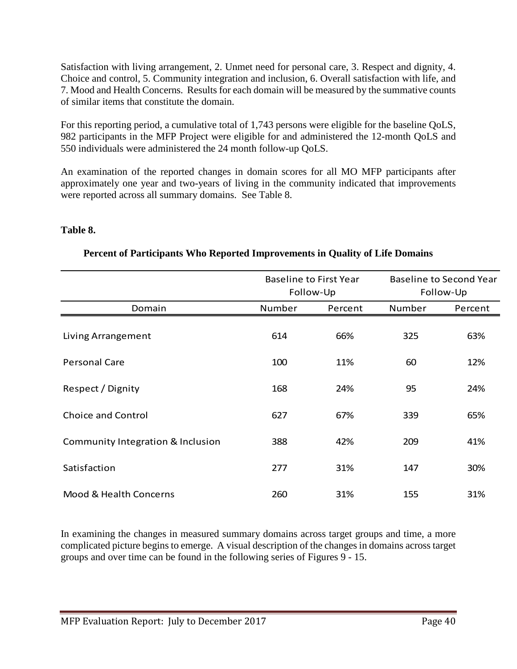Satisfaction with living arrangement, 2. Unmet need for personal care, 3. Respect and dignity, 4. Choice and control, 5. Community integration and inclusion, 6. Overall satisfaction with life, and 7. Mood and Health Concerns. Results for each domain will be measured by the summative counts of similar items that constitute the domain.

For this reporting period, a cumulative total of 1,743 persons were eligible for the baseline QoLS, 982 participants in the MFP Project were eligible for and administered the 12-month QoLS and 550 individuals were administered the 24 month follow-up QoLS.

An examination of the reported changes in domain scores for all MO MFP participants after approximately one year and two-years of living in the community indicated that improvements were reported across all summary domains. See Table 8.

#### **Table 8.**

|                                   |        | <b>Baseline to First Year</b><br>Follow-Up | Baseline to Second Year<br>Follow-Up |         |  |
|-----------------------------------|--------|--------------------------------------------|--------------------------------------|---------|--|
| Domain                            | Number | Percent                                    | Number                               | Percent |  |
| Living Arrangement                | 614    | 66%                                        | 325                                  | 63%     |  |
| Personal Care                     | 100    | 11%                                        | 60                                   | 12%     |  |
| Respect / Dignity                 | 168    | 24%                                        | 95                                   | 24%     |  |
| <b>Choice and Control</b>         | 627    | 67%                                        | 339                                  | 65%     |  |
| Community Integration & Inclusion | 388    | 42%                                        | 209                                  | 41%     |  |
| Satisfaction                      | 277    | 31%                                        | 147                                  | 30%     |  |
| Mood & Health Concerns            | 260    | 31%                                        | 155                                  | 31%     |  |

### **Percent of Participants Who Reported Improvements in Quality of Life Domains**

In examining the changes in measured summary domains across target groups and time, a more complicated picture begins to emerge. A visual description of the changes in domains across target groups and over time can be found in the following series of Figures 9 - 15.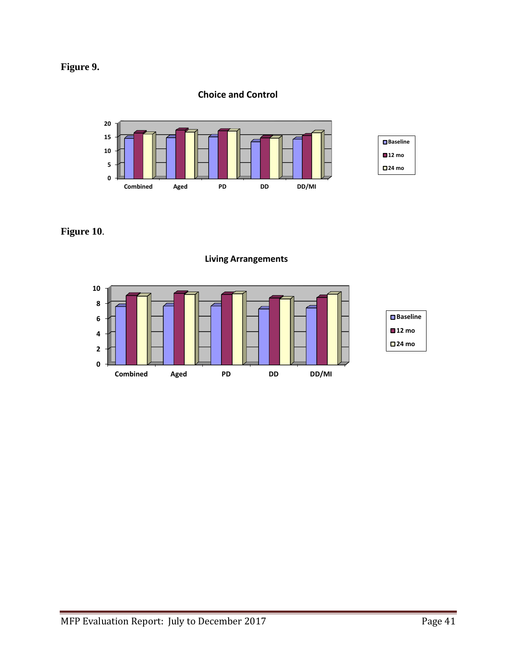## **Figure 9.**

### **Choice and Control**



**Figure 10**.



### **Living Arrangements**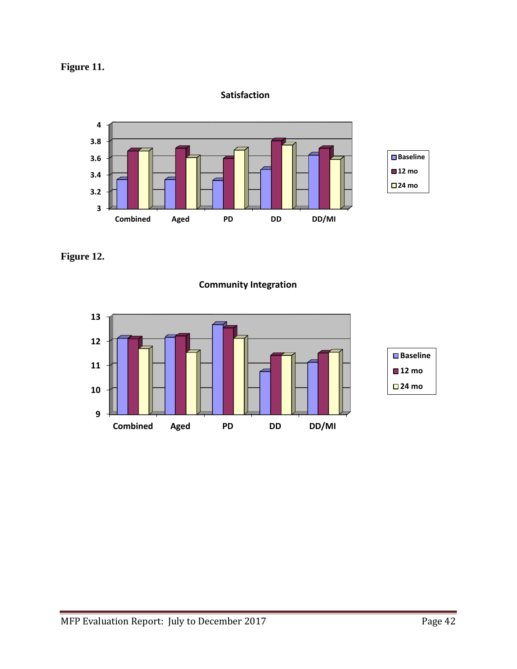

### **Satisfaction**



**Figure 12.**

**Community Integration**

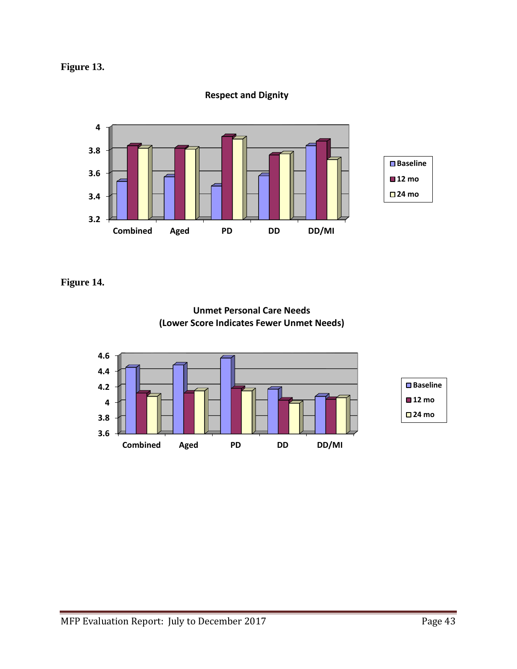

### **Respect and Dignity**



**Figure 14.**



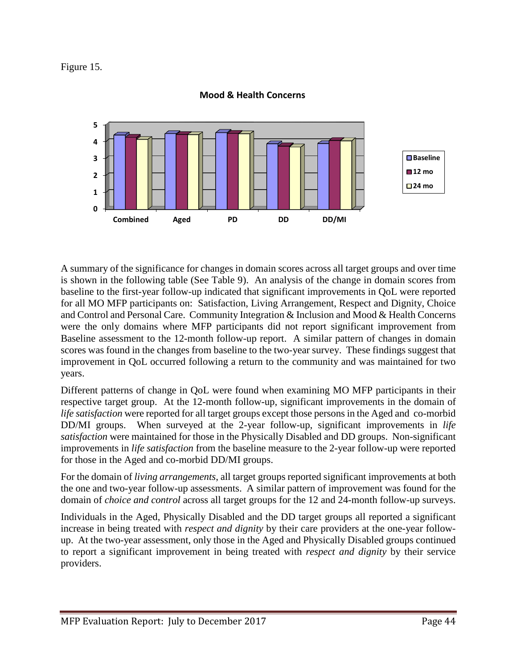Figure 15.



#### **Mood & Health Concerns**

A summary of the significance for changes in domain scores across all target groups and over time is shown in the following table (See Table 9). An analysis of the change in domain scores from baseline to the first-year follow-up indicated that significant improvements in QoL were reported for all MO MFP participants on: Satisfaction, Living Arrangement, Respect and Dignity, Choice and Control and Personal Care. Community Integration & Inclusion and Mood & Health Concerns were the only domains where MFP participants did not report significant improvement from Baseline assessment to the 12-month follow-up report. A similar pattern of changes in domain scores was found in the changes from baseline to the two-year survey. These findings suggest that improvement in QoL occurred following a return to the community and was maintained for two years.

Different patterns of change in QoL were found when examining MO MFP participants in their respective target group. At the 12-month follow-up, significant improvements in the domain of *life satisfaction* were reported for all target groups except those persons in the Aged and co-morbid DD/MI groups. When surveyed at the 2-year follow-up, significant improvements in *life satisfaction* were maintained for those in the Physically Disabled and DD groups. Non-significant improvements in *life satisfaction* from the baseline measure to the 2-year follow-up were reported for those in the Aged and co-morbid DD/MI groups.

For the domain of *living arrangements*, all target groups reported significant improvements at both the one and two-year follow-up assessments. A similar pattern of improvement was found for the domain of *choice and control* across all target groups for the 12 and 24-month follow-up surveys.

Individuals in the Aged, Physically Disabled and the DD target groups all reported a significant increase in being treated with *respect and dignity* by their care providers at the one-year followup. At the two-year assessment, only those in the Aged and Physically Disabled groups continued to report a significant improvement in being treated with *respect and dignity* by their service providers.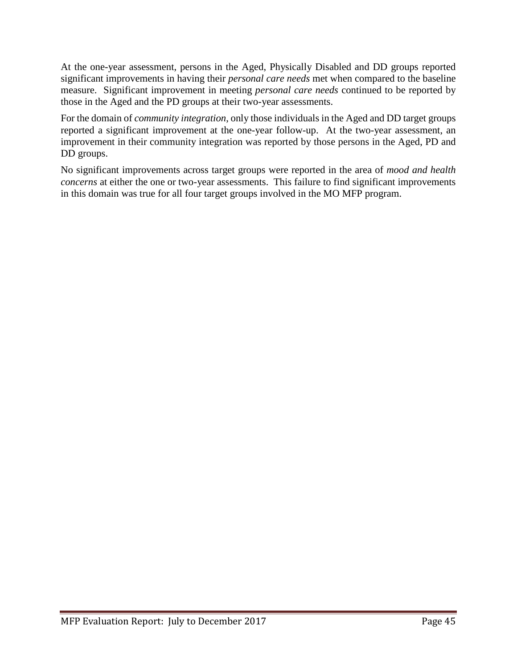At the one-year assessment, persons in the Aged, Physically Disabled and DD groups reported significant improvements in having their *personal care needs* met when compared to the baseline measure. Significant improvement in meeting *personal care needs* continued to be reported by those in the Aged and the PD groups at their two-year assessments.

For the domain of *community integration*, only those individuals in the Aged and DD target groups reported a significant improvement at the one-year follow-up. At the two-year assessment, an improvement in their community integration was reported by those persons in the Aged, PD and DD groups.

No significant improvements across target groups were reported in the area of *mood and health concerns* at either the one or two-year assessments. This failure to find significant improvements in this domain was true for all four target groups involved in the MO MFP program.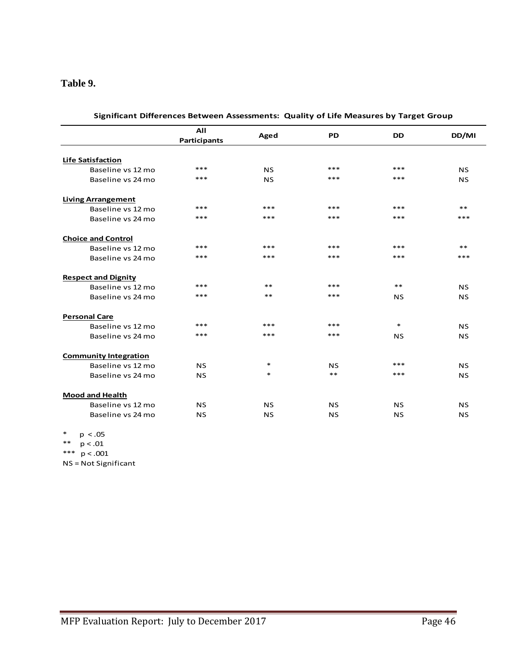#### **Table 9.**

|                              | All<br>Participants | Aged      | <b>PD</b> | <b>DD</b> | DD/MI     |
|------------------------------|---------------------|-----------|-----------|-----------|-----------|
|                              |                     |           |           |           |           |
| <b>Life Satisfaction</b>     | $***$               |           | $***$     | ***       |           |
| Baseline vs 12 mo            |                     | <b>NS</b> |           |           | <b>NS</b> |
| Baseline vs 24 mo            | $***$               | <b>NS</b> | ***       | ***       | <b>NS</b> |
| <b>Living Arrangement</b>    |                     |           |           |           |           |
| Baseline vs 12 mo            | ***                 | ***       | ***       | ***       | $***$     |
| Baseline vs 24 mo            | ***                 | $***$     | $***$     | ***       | $***$     |
| <b>Choice and Control</b>    |                     |           |           |           |           |
| Baseline vs 12 mo            | $***$               | $***$     | ***       | ***       | $***$     |
| Baseline vs 24 mo            | ***                 | $***$     | $***$     | ***       | $***$     |
| <b>Respect and Dignity</b>   |                     |           |           |           |           |
| Baseline vs 12 mo            | ***                 | $***$     | ***       | $***$     | <b>NS</b> |
| Baseline vs 24 mo            | ***                 | $**$      | $***$     | <b>NS</b> | <b>NS</b> |
| <b>Personal Care</b>         |                     |           |           |           |           |
| Baseline vs 12 mo            | ***                 | ***       | $***$     | $\ast$    | <b>NS</b> |
| Baseline vs 24 mo            | ***                 | $***$     | $***$     | <b>NS</b> | <b>NS</b> |
| <b>Community Integration</b> |                     |           |           |           |           |
| Baseline vs 12 mo            | <b>NS</b>           | $\ast$    | <b>NS</b> | ***       | <b>NS</b> |
| Baseline vs 24 mo            | <b>NS</b>           | $\ast$    | $***$     | ***       | <b>NS</b> |
| <b>Mood and Health</b>       |                     |           |           |           |           |
| Baseline vs 12 mo            | <b>NS</b>           | <b>NS</b> | <b>NS</b> | <b>NS</b> | <b>NS</b> |
| Baseline vs 24 mo            | <b>NS</b>           | <b>NS</b> | <b>NS</b> | <b>NS</b> | <b>NS</b> |

**Significant Differences Between Assessments: Quality of Life Measures by Target Group**

\* p < .05 \*\* p < .01 \*\*\* p < .001

NS = Not Significant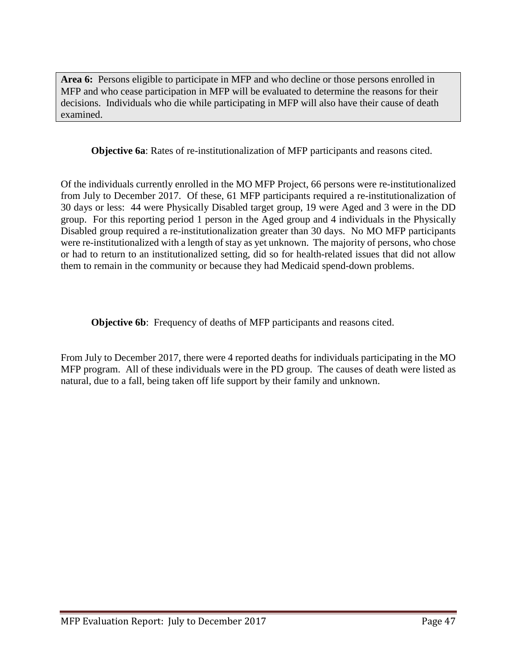**Area 6:** Persons eligible to participate in MFP and who decline or those persons enrolled in MFP and who cease participation in MFP will be evaluated to determine the reasons for their decisions. Individuals who die while participating in MFP will also have their cause of death examined.

**Objective 6a**: Rates of re-institutionalization of MFP participants and reasons cited.

Of the individuals currently enrolled in the MO MFP Project, 66 persons were re-institutionalized from July to December 2017. Of these, 61 MFP participants required a re-institutionalization of 30 days or less: 44 were Physically Disabled target group, 19 were Aged and 3 were in the DD group. For this reporting period 1 person in the Aged group and 4 individuals in the Physically Disabled group required a re-institutionalization greater than 30 days. No MO MFP participants were re-institutionalized with a length of stay as yet unknown. The majority of persons, who chose or had to return to an institutionalized setting, did so for health-related issues that did not allow them to remain in the community or because they had Medicaid spend-down problems.

**Objective 6b:** Frequency of deaths of MFP participants and reasons cited.

From July to December 2017, there were 4 reported deaths for individuals participating in the MO MFP program. All of these individuals were in the PD group. The causes of death were listed as natural, due to a fall, being taken off life support by their family and unknown.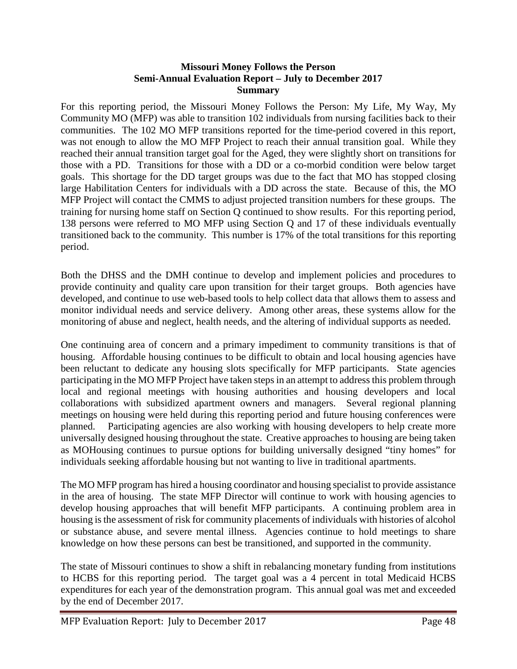#### **Missouri Money Follows the Person Semi-Annual Evaluation Report – July to December 2017 Summary**

For this reporting period, the Missouri Money Follows the Person: My Life, My Way, My Community MO (MFP) was able to transition 102 individuals from nursing facilities back to their communities. The 102 MO MFP transitions reported for the time-period covered in this report, was not enough to allow the MO MFP Project to reach their annual transition goal. While they reached their annual transition target goal for the Aged, they were slightly short on transitions for those with a PD. Transitions for those with a DD or a co-morbid condition were below target goals. This shortage for the DD target groups was due to the fact that MO has stopped closing large Habilitation Centers for individuals with a DD across the state. Because of this, the MO MFP Project will contact the CMMS to adjust projected transition numbers for these groups. The training for nursing home staff on Section Q continued to show results. For this reporting period, 138 persons were referred to MO MFP using Section Q and 17 of these individuals eventually transitioned back to the community. This number is 17% of the total transitions for this reporting period.

Both the DHSS and the DMH continue to develop and implement policies and procedures to provide continuity and quality care upon transition for their target groups. Both agencies have developed, and continue to use web-based tools to help collect data that allows them to assess and monitor individual needs and service delivery. Among other areas, these systems allow for the monitoring of abuse and neglect, health needs, and the altering of individual supports as needed.

One continuing area of concern and a primary impediment to community transitions is that of housing. Affordable housing continues to be difficult to obtain and local housing agencies have been reluctant to dedicate any housing slots specifically for MFP participants. State agencies participating in the MO MFP Project have taken steps in an attempt to address this problem through local and regional meetings with housing authorities and housing developers and local collaborations with subsidized apartment owners and managers. Several regional planning meetings on housing were held during this reporting period and future housing conferences were planned. Participating agencies are also working with housing developers to help create more universally designed housing throughout the state. Creative approaches to housing are being taken as MOHousing continues to pursue options for building universally designed "tiny homes" for individuals seeking affordable housing but not wanting to live in traditional apartments.

The MO MFP program has hired a housing coordinator and housing specialist to provide assistance in the area of housing. The state MFP Director will continue to work with housing agencies to develop housing approaches that will benefit MFP participants. A continuing problem area in housing is the assessment of risk for community placements of individuals with histories of alcohol or substance abuse, and severe mental illness. Agencies continue to hold meetings to share knowledge on how these persons can best be transitioned, and supported in the community.

The state of Missouri continues to show a shift in rebalancing monetary funding from institutions to HCBS for this reporting period. The target goal was a 4 percent in total Medicaid HCBS expenditures for each year of the demonstration program. This annual goal was met and exceeded by the end of December 2017.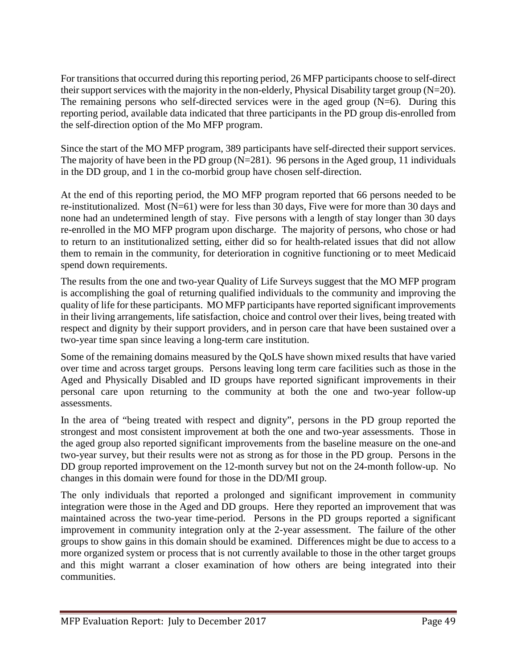For transitions that occurred during this reporting period, 26 MFP participants choose to self-direct their support services with the majority in the non-elderly, Physical Disability target group (N=20). The remaining persons who self-directed services were in the aged group  $(N=6)$ . During this reporting period, available data indicated that three participants in the PD group dis-enrolled from the self-direction option of the Mo MFP program.

Since the start of the MO MFP program, 389 participants have self-directed their support services. The majority of have been in the PD group  $(N=281)$ . 96 persons in the Aged group, 11 individuals in the DD group, and 1 in the co-morbid group have chosen self-direction.

At the end of this reporting period, the MO MFP program reported that 66 persons needed to be re-institutionalized. Most (N=61) were for less than 30 days, Five were for more than 30 days and none had an undetermined length of stay. Five persons with a length of stay longer than 30 days re-enrolled in the MO MFP program upon discharge. The majority of persons, who chose or had to return to an institutionalized setting, either did so for health-related issues that did not allow them to remain in the community, for deterioration in cognitive functioning or to meet Medicaid spend down requirements.

The results from the one and two-year Quality of Life Surveys suggest that the MO MFP program is accomplishing the goal of returning qualified individuals to the community and improving the quality of life for these participants. MO MFP participants have reported significant improvements in their living arrangements, life satisfaction, choice and control over their lives, being treated with respect and dignity by their support providers, and in person care that have been sustained over a two-year time span since leaving a long-term care institution.

Some of the remaining domains measured by the QoLS have shown mixed results that have varied over time and across target groups. Persons leaving long term care facilities such as those in the Aged and Physically Disabled and ID groups have reported significant improvements in their personal care upon returning to the community at both the one and two-year follow-up assessments.

In the area of "being treated with respect and dignity", persons in the PD group reported the strongest and most consistent improvement at both the one and two-year assessments. Those in the aged group also reported significant improvements from the baseline measure on the one-and two-year survey, but their results were not as strong as for those in the PD group. Persons in the DD group reported improvement on the 12-month survey but not on the 24-month follow-up. No changes in this domain were found for those in the DD/MI group.

The only individuals that reported a prolonged and significant improvement in community integration were those in the Aged and DD groups. Here they reported an improvement that was maintained across the two-year time-period. Persons in the PD groups reported a significant improvement in community integration only at the 2-year assessment. The failure of the other groups to show gains in this domain should be examined. Differences might be due to access to a more organized system or process that is not currently available to those in the other target groups and this might warrant a closer examination of how others are being integrated into their communities.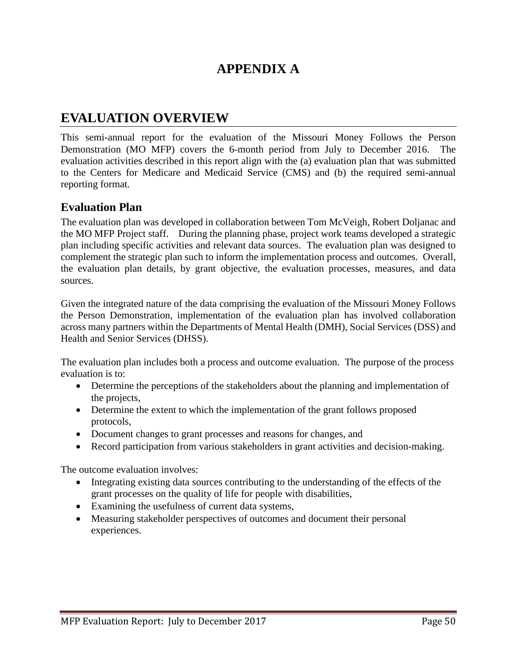## **APPENDIX A**

## **EVALUATION OVERVIEW**

This semi-annual report for the evaluation of the Missouri Money Follows the Person Demonstration (MO MFP) covers the 6-month period from July to December 2016. The evaluation activities described in this report align with the (a) evaluation plan that was submitted to the Centers for Medicare and Medicaid Service (CMS) and (b) the required semi-annual reporting format.

### **Evaluation Plan**

The evaluation plan was developed in collaboration between Tom McVeigh, Robert Doljanac and the MO MFP Project staff. During the planning phase, project work teams developed a strategic plan including specific activities and relevant data sources. The evaluation plan was designed to complement the strategic plan such to inform the implementation process and outcomes. Overall, the evaluation plan details, by grant objective, the evaluation processes, measures, and data sources.

Given the integrated nature of the data comprising the evaluation of the Missouri Money Follows the Person Demonstration, implementation of the evaluation plan has involved collaboration across many partners within the Departments of Mental Health (DMH), Social Services (DSS) and Health and Senior Services (DHSS).

The evaluation plan includes both a process and outcome evaluation. The purpose of the process evaluation is to:

- Determine the perceptions of the stakeholders about the planning and implementation of the projects,
- Determine the extent to which the implementation of the grant follows proposed protocols,
- Document changes to grant processes and reasons for changes, and
- Record participation from various stakeholders in grant activities and decision-making.

The outcome evaluation involves:

- Integrating existing data sources contributing to the understanding of the effects of the grant processes on the quality of life for people with disabilities,
- Examining the usefulness of current data systems,
- Measuring stakeholder perspectives of outcomes and document their personal experiences.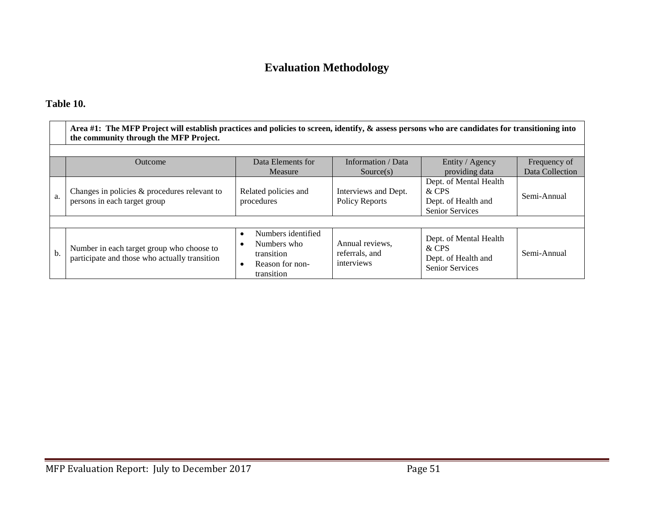## **Evaluation Methodology**

### **Table 10.**

|       | Area #1: The MFP Project will establish practices and policies to screen, identify, $\&$ assess persons who are candidates for transitioning into<br>the community through the MFP Project. |                                                                                  |                                                 |                                                                                  |                 |  |  |  |  |  |
|-------|---------------------------------------------------------------------------------------------------------------------------------------------------------------------------------------------|----------------------------------------------------------------------------------|-------------------------------------------------|----------------------------------------------------------------------------------|-----------------|--|--|--|--|--|
|       |                                                                                                                                                                                             |                                                                                  |                                                 |                                                                                  |                 |  |  |  |  |  |
|       | Outcome                                                                                                                                                                                     | Data Elements for                                                                | Information / Data                              | Entity / Agency                                                                  | Frequency of    |  |  |  |  |  |
|       |                                                                                                                                                                                             | Measure                                                                          | Source(s)                                       | providing data                                                                   | Data Collection |  |  |  |  |  |
| a.    | Changes in policies & procedures relevant to<br>persons in each target group                                                                                                                | Related policies and<br>procedures                                               | Interviews and Dept.<br><b>Policy Reports</b>   | Dept. of Mental Health<br>& CPS<br>Dept. of Health and<br><b>Senior Services</b> | Semi-Annual     |  |  |  |  |  |
|       |                                                                                                                                                                                             |                                                                                  |                                                 |                                                                                  |                 |  |  |  |  |  |
| $b$ . | Number in each target group who choose to<br>participate and those who actually transition                                                                                                  | Numbers identified<br>Numbers who<br>transition<br>Reason for non-<br>transition | Annual reviews,<br>referrals, and<br>interviews | Dept. of Mental Health<br>& CPS<br>Dept. of Health and<br><b>Senior Services</b> | Semi-Annual     |  |  |  |  |  |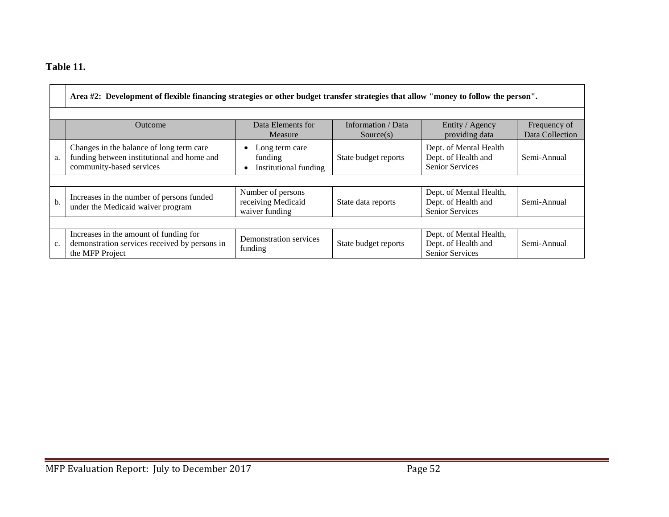## **Table 11.**

|    | Area #2: Development of flexible financing strategies or other budget transfer strategies that allow "money to follow the person". |                                                           |                                 |                                                                          |                                 |  |  |  |  |
|----|------------------------------------------------------------------------------------------------------------------------------------|-----------------------------------------------------------|---------------------------------|--------------------------------------------------------------------------|---------------------------------|--|--|--|--|
|    | Outcome                                                                                                                            | Data Elements for<br>Measure                              | Information / Data<br>Source(s) | Entity / Agency<br>providing data                                        | Frequency of<br>Data Collection |  |  |  |  |
| a. | Changes in the balance of long term care<br>funding between institutional and home and<br>community-based services                 | Long term care<br>funding<br>Institutional funding        | State budget reports            | Dept. of Mental Health<br>Dept. of Health and<br><b>Senior Services</b>  | Semi-Annual                     |  |  |  |  |
|    |                                                                                                                                    |                                                           |                                 |                                                                          |                                 |  |  |  |  |
| b. | Increases in the number of persons funded<br>under the Medicaid waiver program                                                     | Number of persons<br>receiving Medicaid<br>waiver funding | State data reports              | Dept. of Mental Health,<br>Dept. of Health and<br><b>Senior Services</b> | Semi-Annual                     |  |  |  |  |
|    |                                                                                                                                    |                                                           |                                 |                                                                          |                                 |  |  |  |  |
| c. | Increases in the amount of funding for<br>demonstration services received by persons in<br>the MFP Project                         | Demonstration services<br>funding                         | State budget reports            | Dept. of Mental Health,<br>Dept. of Health and<br>Senior Services        | Semi-Annual                     |  |  |  |  |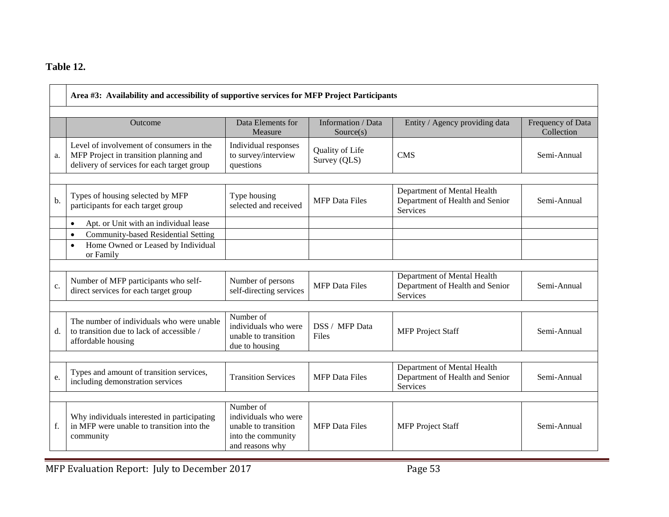## **Table 12.**

|       | Area #3: Availability and accessibility of supportive services for MFP Project Participants                                      |                                                                                                    |                                 |                                                                                   |                                 |  |  |
|-------|----------------------------------------------------------------------------------------------------------------------------------|----------------------------------------------------------------------------------------------------|---------------------------------|-----------------------------------------------------------------------------------|---------------------------------|--|--|
|       | Outcome                                                                                                                          | Data Elements for<br>Measure                                                                       | Information / Data<br>Source(s) | Entity / Agency providing data                                                    | Frequency of Data<br>Collection |  |  |
| a.    | Level of involvement of consumers in the<br>MFP Project in transition planning and<br>delivery of services for each target group | Individual responses<br>to survey/interview<br>questions                                           | Quality of Life<br>Survey (QLS) | <b>CMS</b>                                                                        | Semi-Annual                     |  |  |
| b.    | Types of housing selected by MFP<br>participants for each target group                                                           | Type housing<br>selected and received                                                              | <b>MFP</b> Data Files           | Department of Mental Health<br>Department of Health and Senior<br><b>Services</b> | Semi-Annual                     |  |  |
|       | Apt. or Unit with an individual lease<br>$\bullet$                                                                               |                                                                                                    |                                 |                                                                                   |                                 |  |  |
|       | Community-based Residential Setting<br>$\bullet$<br>Home Owned or Leased by Individual<br>$\bullet$<br>or Family                 |                                                                                                    |                                 |                                                                                   |                                 |  |  |
| c.    | Number of MFP participants who self-<br>direct services for each target group                                                    | Number of persons<br>self-directing services                                                       | <b>MFP</b> Data Files           | Department of Mental Health<br>Department of Health and Senior<br><b>Services</b> | Semi-Annual                     |  |  |
| $d$ . | The number of individuals who were unable<br>to transition due to lack of accessible /<br>affordable housing                     | Number of<br>individuals who were<br>unable to transition<br>due to housing                        | DSS / MFP Data<br>Files         | <b>MFP</b> Project Staff                                                          | Semi-Annual                     |  |  |
| e.    | Types and amount of transition services,<br>including demonstration services                                                     | <b>Transition Services</b>                                                                         | <b>MFP</b> Data Files           | Department of Mental Health<br>Department of Health and Senior<br>Services        | Semi-Annual                     |  |  |
| f.    | Why individuals interested in participating<br>in MFP were unable to transition into the<br>community                            | Number of<br>individuals who were<br>unable to transition<br>into the community<br>and reasons why | <b>MFP</b> Data Files           | <b>MFP</b> Project Staff                                                          | Semi-Annual                     |  |  |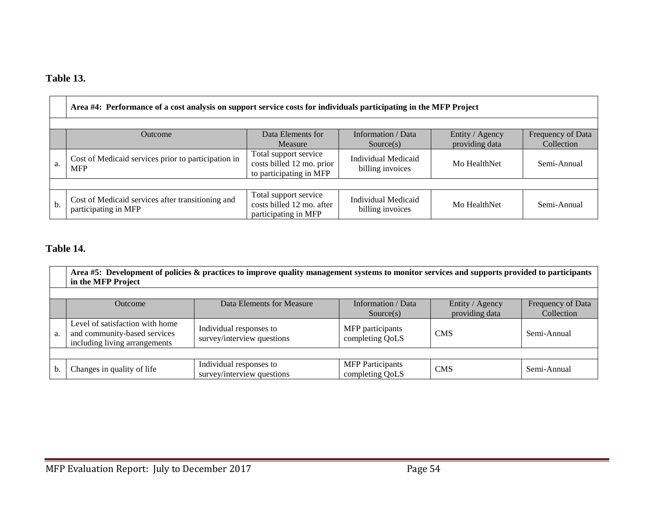## **Table 13.**

|    | Area #4: Performance of a cost analysis on support service costs for individuals participating in the MFP Project                                         |                                                                               |                                         |              |             |  |  |  |  |
|----|-----------------------------------------------------------------------------------------------------------------------------------------------------------|-------------------------------------------------------------------------------|-----------------------------------------|--------------|-------------|--|--|--|--|
|    |                                                                                                                                                           |                                                                               |                                         |              |             |  |  |  |  |
|    | Information / Data<br>Data Elements for<br>Entity / Agency<br>Frequency of Data<br><b>Outcome</b><br>providing data<br>Collection<br>Measure<br>Source(s) |                                                                               |                                         |              |             |  |  |  |  |
| a. | Cost of Medicaid services prior to participation in<br><b>MFP</b>                                                                                         | Total support service<br>costs billed 12 mo. prior<br>to participating in MFP | Individual Medicaid<br>billing invoices | Mo HealthNet | Semi-Annual |  |  |  |  |
|    |                                                                                                                                                           |                                                                               |                                         |              |             |  |  |  |  |
| b. | Cost of Medicaid services after transitioning and<br>participating in MFP                                                                                 | Total support service<br>costs billed 12 mo. after<br>participating in MFP    | Individual Medicaid<br>billing invoices | Mo HealthNet | Semi-Annual |  |  |  |  |

## **Table 14.**

|    | Area #5: Development of policies & practices to improve quality management systems to monitor services and supports provided to participants<br>in the MFP Project |                                                       |                                            |            |             |  |  |  |  |
|----|--------------------------------------------------------------------------------------------------------------------------------------------------------------------|-------------------------------------------------------|--------------------------------------------|------------|-------------|--|--|--|--|
|    | Information / Data<br>Data Elements for Measure<br>Frequency of Data<br>Entity / Agency<br><b>Outcome</b><br>providing data<br>Collection<br>Source(s)             |                                                       |                                            |            |             |  |  |  |  |
| a. | Level of satisfaction with home<br>and community-based services<br>including living arrangements                                                                   | Individual responses to<br>survey/interview questions | MFP participants<br>completing QoLS        | <b>CMS</b> | Semi-Annual |  |  |  |  |
|    |                                                                                                                                                                    |                                                       |                                            |            |             |  |  |  |  |
| b. | Changes in quality of life                                                                                                                                         | Individual responses to<br>survey/interview questions | <b>MFP</b> Participants<br>completing QoLS | <b>CMS</b> | Semi-Annual |  |  |  |  |